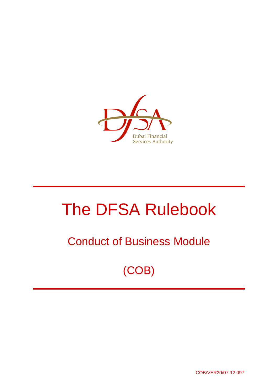

# The DFSA Rulebook

## Conduct of Business Module

(COB)

COB/VER20/07-12 097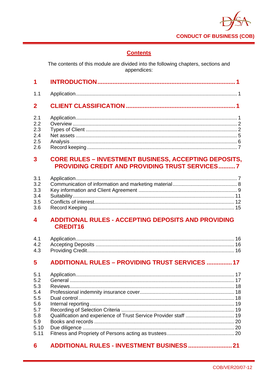

## **Contents**

The contents of this module are divided into the following chapters, sections and appendices:

| 1.1                     |                                                              |  |
|-------------------------|--------------------------------------------------------------|--|
| 2 <sup>1</sup>          |                                                              |  |
| 2.1                     |                                                              |  |
| 2.2                     |                                                              |  |
| 2.3                     |                                                              |  |
| 2.4                     |                                                              |  |
| 2.5                     |                                                              |  |
| 2.6                     |                                                              |  |
| $\overline{\mathbf{3}}$ | <b>CORE RULES - INVESTMENT BUSINESS, ACCEPTING DEPOSITS,</b> |  |
|                         | <b>PROVIDING CREDIT AND PROVIDING TRUST SERVICES7</b>        |  |
| 3.1                     |                                                              |  |
| 3.2                     |                                                              |  |

#### ADDITIONAL RULES - ACCEPTING DEPOSITS AND PROVIDING  $\overline{\mathbf{4}}$ **CREDIT16**

#### **ADDITIONAL RULES - PROVIDING TRUST SERVICES ............... 17**  $5<sup>5</sup>$

| 5.1  |  |
|------|--|
| 5.2  |  |
| 5.3  |  |
| 5.4  |  |
| 5.5  |  |
| 5.6  |  |
| 5.7  |  |
| 5.8  |  |
| 5.9  |  |
| 5.10 |  |
| 5.11 |  |

#### $6<sup>1</sup>$ ADDITIONAL RULES - INVESTMENT BUSINESS ............................. 21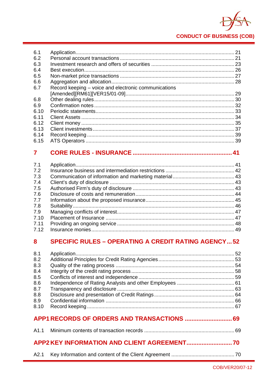

| 6.1  |                                                      |  |
|------|------------------------------------------------------|--|
| 6.2  |                                                      |  |
| 6.3  |                                                      |  |
| 6.4  |                                                      |  |
| 6.5  |                                                      |  |
| 6.6  |                                                      |  |
| 6.7  | Record keeping – voice and electronic communications |  |
|      |                                                      |  |
| 6.8  |                                                      |  |
| 6.9  |                                                      |  |
| 6.10 |                                                      |  |
| 6.11 |                                                      |  |
| 6.12 |                                                      |  |
| 6.13 |                                                      |  |
| 6.14 |                                                      |  |
| 6.15 |                                                      |  |

#### $\overline{7}$

| 7.1  |  |
|------|--|
| 7.2  |  |
| 7.3  |  |
| 7.4  |  |
| 7.5  |  |
| 7.6  |  |
| 7.7  |  |
| 7.8  |  |
| 7.9  |  |
| 7.10 |  |
| 7.11 |  |
| 7.12 |  |
|      |  |

#### **SPECIFIC RULES - OPERATING A CREDIT RATING AGENCY...52** 8

| 8.1  |  |
|------|--|
| 8.2  |  |
| 8.3  |  |
| 8.4  |  |
| 8.5  |  |
| 8.6  |  |
| 8.7  |  |
| 8.8  |  |
| 8.9  |  |
| 8.10 |  |
|      |  |
|      |  |
|      |  |
|      |  |
|      |  |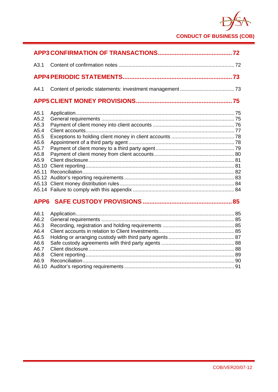

| A3.1                                                                                   |  |
|----------------------------------------------------------------------------------------|--|
|                                                                                        |  |
| A4.1                                                                                   |  |
|                                                                                        |  |
| A5.1<br>A5.2<br>A5.3<br>A5.4<br>A5.5<br>A5.6<br>A5.7<br>A5.8<br>A5.9<br>A5.10<br>A5.11 |  |
|                                                                                        |  |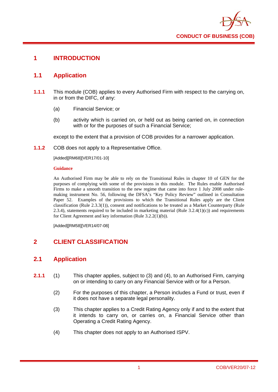

## **1 INTRODUCTION**

## **1.1 Application**

- **1.1.1** This module (COB) applies to every Authorised Firm with respect to the carrying on, in or from the DIFC, of any:
	- (a) Financial Service; or
	- (b) activity which is carried on, or held out as being carried on, in connection with or for the purposes of such a Financial Service;

except to the extent that a provision of COB provides for a narrower application.

**1.1.2** COB does not apply to a Representative Office.

[Added][RM68][VER17/01-10]

#### **Guidance**

An Authorised Firm may be able to rely on the Transitional Rules in chapter 10 of GEN for the purposes of complying with some of the provisions in this module. The Rules enable Authorised Firms to make a smooth transition to the new regime that came into force 1 July 2008 under rulemaking instrument No. 56, following the DFSA's "Key Policy Review" outlined in Consultation Paper 52. Examples of the provisions to which the Transitional Rules apply are the Client classification (Rule 2.3.3(1)), consent and notifications to be treated as a Market Counterparty (Rule 2.3.4), statements required to be included in marketing material (Rule  $3.2.4(1)(c)$ ) and requirements for Client Agreement and key information (Rule 3.2.2(1)(b)).

[Added][RM58][VER14/07-08]

## **2 CLIENT CLASSIFICATION**

## **2.1 Application**

- **2.1.1** (1) This chapter applies, subject to (3) and (4), to an Authorised Firm, carrying on or intending to carry on any Financial Service with or for a Person.
	- (2) For the purposes of this chapter, a Person includes a Fund or trust, even if it does not have a separate legal personality.
	- (3) This chapter applies to a Credit Rating Agency only if and to the extent that it intends to carry on, or carries on, a Financial Service other than Operating a Credit Rating Agency.
	- (4) This chapter does not apply to an Authorised ISPV.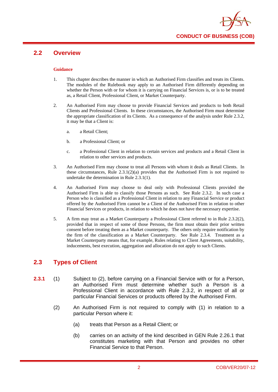

## **2.2 Overview**

#### **Guidance**

- 1. This chapter describes the manner in which an Authorised Firm classifies and treats its Clients. The modules of the Rulebook may apply to an Authorised Firm differently depending on whether the Person with or for whom it is carrying on Financial Services is, or is to be treated as, a Retail Client, Professional Client, or Market Counterparty.
- 2. An Authorised Firm may choose to provide Financial Services and products to both Retail Clients and Professional Clients. In these circumstances, the Authorised Firm must determine the appropriate classification of its Clients. As a consequence of the analysis under Rule 2.3.2, it may be that a Client is:
	- a. a Retail Client;
	- b. a Professional Client; or
	- c. a Professional Client in relation to certain services and products and a Retail Client in relation to other services and products.
- 3. An Authorised Firm may choose to treat all Persons with whom it deals as Retail Clients. In these circumstances, Rule  $2.3.1(2)(a)$  provides that the Authorised Firm is not required to undertake the determination in Rule 2.3.1(1).
- 4. An Authorised Firm may choose to deal only with Professional Clients provided the Authorised Firm is able to classify those Persons as such. See Rule 2.3.2. In such case a Person who is classified as a Professional Client in relation to any Financial Service or product offered by the Authorised Firm cannot be a Client of the Authorised Firm in relation to other Financial Services or products, in relation to which he does not have the necessary expertise.
- 5. A firm may treat as a Market Counterparty a Professional Client referred to in Rule 2.3.2(2), provided that in respect of some of those Persons, the firm must obtain their prior written consent before treating them as a Market counterparty. The others only require notification by the firm of the classification as a Market Counterparty. See Rule 2.3.4. Treatment as a Market Counterparty means that, for example, Rules relating to Client Agreements, suitability, inducements, best execution, aggregation and allocation do not apply to such Clients.

## **2.3 Types of Client**

- **2.3.1** (1) Subject to (2), before carrying on a Financial Service with or for a Person, an Authorised Firm must determine whether such a Person is a Professional Client in accordance with Rule 2.3.2, in respect of all or particular Financial Services or products offered by the Authorised Firm.
	- (2) An Authorised Firm is not required to comply with (1) in relation to a particular Person where it:
		- (a) treats that Person as a Retail Client; or
		- (b) carries on an activity of the kind described in GEN Rule 2.26.1 that constitutes marketing with that Person and provides no other Financial Service to that Person.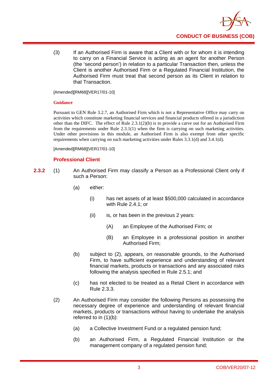

(3) If an Authorised Firm is aware that a Client with or for whom it is intending to carry on a Financial Service is acting as an agent for another Person (the 'second person') in relation to a particular Transaction then, unless the Client is another Authorised Firm or a Regulated Financial Institution, the Authorised Firm must treat that second person as its Client in relation to that Transaction.

[Amended][RM68][VER17/01-10]

#### **Guidance**

Pursuant to GEN Rule 3.2.7, an Authorised Firm which is not a Representative Office may carry on activities which constitute marketing financial services and financial products offered in a jurisdiction other than the DIFC. The effect of Rule  $2.3.1(2)(b)$  is to provide a carve out for an Authorised Firm from the requirements under Rule 2.3.1(1) when the firm is carrying on such marketing activities. Under other provisions in this module, an Authorised Firm is also exempt from other specific requirements when carrying on such marketing activities under Rules 3.3.1(d) and 3.4.1(d).

[Amended][RM68][VER17/01-10]

## **Professional Client**

- **2.3.2** (1) An Authorised Firm may classify a Person as a Professional Client only if such a Person:
	- (a) either:
		- (i) has net assets of at least \$500,000 calculated in accordance with Rule 2.4.1; or
		- (ii) is, or has been in the previous 2 years:
			- (A) an Employee of the Authorised Firm; or
			- (B) an Employee in a professional position in another Authorised Firm;
	- (b) subject to (2), appears, on reasonable grounds, to the Authorised Firm, to have sufficient experience and understanding of relevant financial markets, products or transactions and any associated risks following the analysis specified in Rule 2.5.1; and
	- (c) has not elected to be treated as a Retail Client in accordance with Rule 2.3.3.
	- (2) An Authorised Firm may consider the following Persons as possessing the necessary degree of experience and understanding of relevant financial markets, products or transactions without having to undertake the analysis referred to in (1)(b):
		- (a) a Collective Investment Fund or a regulated pension fund;
		- (b) an Authorised Firm, a Regulated Financial Institution or the management company of a regulated pension fund;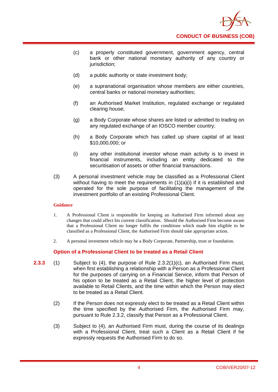

- (c) a properly constituted government, government agency, central bank or other national monetary authority of any country or jurisdiction:
- (d) a public authority or state investment body;
- (e) a supranational organisation whose members are either countries, central banks or national monetary authorities;
- (f) an Authorised Market Institution, regulated exchange or regulated clearing house;
- (g) a Body Corporate whose shares are listed or admitted to trading on any regulated exchange of an IOSCO member country;
- (h) a Body Corporate which has called up share capital of at least \$10,000,000; or
- (i) any other institutional investor whose main activity is to invest in financial instruments, including an entity dedicated to the securitisation of assets or other financial transactions.
- (3) A personal investment vehicle may be classified as a Professional Client without having to meet the requirements in  $(1)(a)(i)$  if it is established and operated for the sole purpose of facilitating the management of the investment portfolio of an existing Professional Client.

#### **Guidance**

- 1. A Professional Client is responsible for keeping an Authorised Firm informed about any changes that could affect his current classification. Should the Authorised Firm become aware that a Professional Client no longer fulfils the conditions which made him eligible to be classified as a Professional Client, the Authorised Firm should take appropriate action.
- 2. A personal investment vehicle may be a Body Corporate, Partnership, trust or foundation.

## **Option of a Professional Client to be treated as a Retail Client**

- **2.3.3** (1) Subject to (4), the purpose of Rule 2.3.2(1)(c), an Authorised Firm must, when first establishing a relationship with a Person as a Professional Client for the purposes of carrying on a Financial Service, inform that Person of his option to be treated as a Retail Client, the higher level of protection available to Retail Clients, and the time within which the Person may elect to be treated as a Retail Client.
	- (2) If the Person does not expressly elect to be treated as a Retail Client within the time specified by the Authorised Firm, the Authorised Firm may, pursuant to Rule 2.3.2, classify that Person as a Professional Client.
	- (3) Subject to (4), an Authorised Firm must, during the course of its dealings with a Professional Client, treat such a Client as a Retail Client if he expressly requests the Authorised Firm to do so.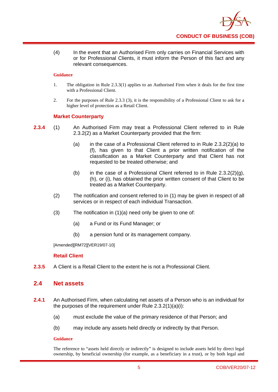

(4) In the event that an Authorised Firm only carries on Financial Services with or for Professional Clients, it must inform the Person of this fact and any relevant consequences.

#### **Guidance**

- 1. The obligation in Rule 2.3.3(1) applies to an Authorised Firm when it deals for the first time with a Professional Client.
- 2. For the purposes of Rule 2.3.3 (3), it is the responsibility of a Professional Client to ask for a higher level of protection as a Retail Client.

## **Market Counterparty**

- **2.3.4** (1) An Authorised Firm may treat a Professional Client referred to in Rule 2.3.2(2) as a Market Counterparty provided that the firm:
	- (a) in the case of a Professional Client referred to in Rule 2.3.2(2)(a) to (f), has given to that Client a prior written notification of the classification as a Market Counterparty and that Client has not requested to be treated otherwise; and
	- (b) in the case of a Professional Client referred to in Rule  $2.3.2(2)(g)$ , (h), or (i), has obtained the prior written consent of that Client to be treated as a Market Counterparty.
	- (2) The notification and consent referred to in (1) may be given in respect of all services or in respect of each individual Transaction.
	- (3) The notification in (1)(a) need only be given to one of:
		- (a) a Fund or its Fund Manager; or
		- (b) a pension fund or its management company.

[Amended][RM72][VER19/07-10]

#### **Retail Client**

**2.3.5** A Client is a Retail Client to the extent he is not a Professional Client.

## **2.4 Net assets**

- **2.4.1** An Authorised Firm, when calculating net assets of a Person who is an individual for the purposes of the requirement under Rule 2.3.2(1)(a)(i):
	- (a) must exclude the value of the primary residence of that Person; and
	- (b) may include any assets held directly or indirectly by that Person.

#### **Guidance**

The reference to "assets held directly or indirectly" is designed to include assets held by direct legal ownership, by beneficial ownership (for example, as a beneficiary in a trust), or by both legal and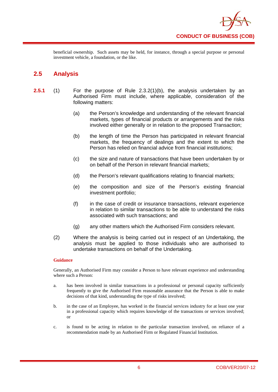

beneficial ownership. Such assets may be held, for instance, through a special purpose or personal investment vehicle, a foundation, or the like.

## **2.5 Analysis**

- **2.5.1** (1) For the purpose of Rule 2.3.2(1)(b), the analysis undertaken by an Authorised Firm must include, where applicable, consideration of the following matters:
	- (a) the Person's knowledge and understanding of the relevant financial markets, types of financial products or arrangements and the risks involved either generally or in relation to the proposed Transaction;
	- (b) the length of time the Person has participated in relevant financial markets, the frequency of dealings and the extent to which the Person has relied on financial advice from financial institutions;
	- (c) the size and nature of transactions that have been undertaken by or on behalf of the Person in relevant financial markets;
	- (d) the Person's relevant qualifications relating to financial markets;
	- (e) the composition and size of the Person's existing financial investment portfolio;
	- (f) in the case of credit or insurance transactions, relevant experience in relation to similar transactions to be able to understand the risks associated with such transactions; and
	- (g) any other matters which the Authorised Firm considers relevant.
	- (2) Where the analysis is being carried out in respect of an Undertaking, the analysis must be applied to those individuals who are authorised to undertake transactions on behalf of the Undertaking.

## **Guidance**

Generally, an Authorised Firm may consider a Person to have relevant experience and understanding where such a Person:

- a. has been involved in similar transactions in a professional or personal capacity sufficiently frequently to give the Authorised Firm reasonable assurance that the Person is able to make decisions of that kind, understanding the type of risks involved;
- b. in the case of an Employee, has worked in the financial services industry for at least one year in a professional capacity which requires knowledge of the transactions or services involved; or
- c. is found to be acting in relation to the particular transaction involved, on reliance of a recommendation made by an Authorised Firm or Regulated Financial Institution.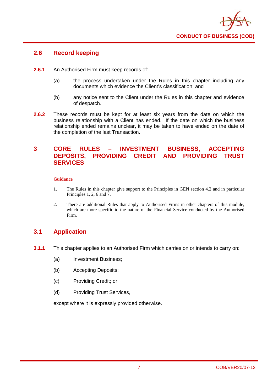

## **2.6 Record keeping**

- **2.6.1** An Authorised Firm must keep records of:
	- (a) the process undertaken under the Rules in this chapter including any documents which evidence the Client's classification; and
	- (b) any notice sent to the Client under the Rules in this chapter and evidence of despatch.
- **2.6.2** These records must be kept for at least six years from the date on which the business relationship with a Client has ended. If the date on which the business relationship ended remains unclear, it may be taken to have ended on the date of the completion of the last Transaction.

## **3 CORE RULES – INVESTMENT BUSINESS, ACCEPTING DEPOSITS, PROVIDING CREDIT AND PROVIDING TRUST SERVICES**

#### **Guidance**

- 1. The Rules in this chapter give support to the Principles in GEN section 4.2 and in particular Principles 1, 2, 6 and 7.
- 2. There are additional Rules that apply to Authorised Firms in other chapters of this module, which are more specific to the nature of the Financial Service conducted by the Authorised Firm.

## **3.1 Application**

- **3.1.1** This chapter applies to an Authorised Firm which carries on or intends to carry on:
	- (a) Investment Business;
	- (b) Accepting Deposits;
	- (c) Providing Credit; or
	- (d) Providing Trust Services,

except where it is expressly provided otherwise.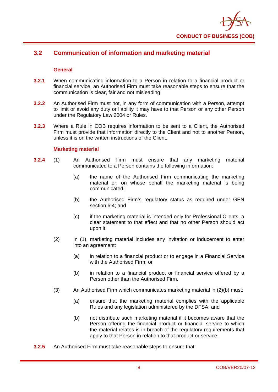

## **3.2 Communication of information and marketing material**

## **General**

- **3.2.1** When communicating information to a Person in relation to a financial product or financial service, an Authorised Firm must take reasonable steps to ensure that the communication is clear, fair and not misleading.
- **3.2.2** An Authorised Firm must not, in any form of communication with a Person, attempt to limit or avoid any duty or liability it may have to that Person or any other Person under the Regulatory Law 2004 or Rules.
- **3.2.3** Where a Rule in COB requires information to be sent to a Client, the Authorised Firm must provide that information directly to the Client and not to another Person, unless it is on the written instructions of the Client.

## **Marketing material**

- **3.2.4** (1) An Authorised Firm must ensure that any marketing material communicated to a Person contains the following information:
	- (a) the name of the Authorised Firm communicating the marketing material or, on whose behalf the marketing material is being communicated;
	- (b) the Authorised Firm's regulatory status as required under GEN section 6.4; and
	- (c) if the marketing material is intended only for Professional Clients, a clear statement to that effect and that no other Person should act upon it.
	- (2) In (1), marketing material includes any invitation or inducement to enter into an agreement:
		- (a) in relation to a financial product or to engage in a Financial Service with the Authorised Firm; or
		- (b) in relation to a financial product or financial service offered by a Person other than the Authorised Firm.
	- (3) An Authorised Firm which communicates marketing material in (2)(b) must:
		- (a) ensure that the marketing material complies with the applicable Rules and any legislation administered by the DFSA; and
		- (b) not distribute such marketing material if it becomes aware that the Person offering the financial product or financial service to which the material relates is in breach of the regulatory requirements that apply to that Person in relation to that product or service.
- **3.2.5** An Authorised Firm must take reasonable steps to ensure that: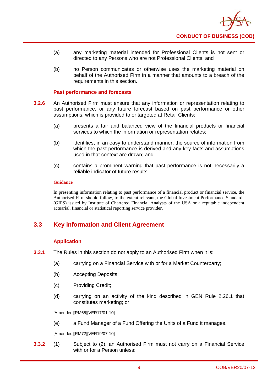

- (a) any marketing material intended for Professional Clients is not sent or directed to any Persons who are not Professional Clients; and
- (b) no Person communicates or otherwise uses the marketing material on behalf of the Authorised Firm in a manner that amounts to a breach of the requirements in this section.

#### **Past performance and forecasts**

- **3.2.6** An Authorised Firm must ensure that any information or representation relating to past performance, or any future forecast based on past performance or other assumptions, which is provided to or targeted at Retail Clients:
	- (a) presents a fair and balanced view of the financial products or financial services to which the information or representation relates;
	- (b) identifies, in an easy to understand manner, the source of information from which the past performance is derived and any key facts and assumptions used in that context are drawn; and
	- (c) contains a prominent warning that past performance is not necessarily a reliable indicator of future results.

#### **Guidance**

In presenting information relating to past performance of a financial product or financial service, the Authorised Firm should follow, to the extent relevant, the Global Investment Performance Standards (GIPS) issued by Institute of Chartered Financial Analysts of the USA or a reputable independent actuarial, financial or statistical reporting service provider.

## **3.3 Key information and Client Agreement**

## **Application**

- **3.3.1** The Rules in this section do not apply to an Authorised Firm when it is:
	- (a) carrying on a Financial Service with or for a Market Counterparty;
	- (b) Accepting Deposits;
	- (c) Providing Credit;
	- (d) carrying on an activity of the kind described in GEN Rule 2.26.1 that constitutes marketing; or

[Amended][RM68][VER17/01-10]

(e) a Fund Manager of a Fund Offering the Units of a Fund it manages.

[Amended][RM72][VER19/07-10]

**3.3.2** (1) Subject to (2), an Authorised Firm must not carry on a Financial Service with or for a Person unless: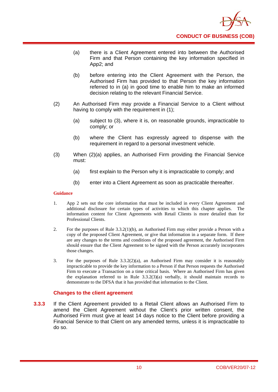

- (a) there is a Client Agreement entered into between the Authorised Firm and that Person containing the key information specified in App2; and
- (b) before entering into the Client Agreement with the Person, the Authorised Firm has provided to that Person the key information referred to in (a) in good time to enable him to make an informed decision relating to the relevant Financial Service.
- (2) An Authorised Firm may provide a Financial Service to a Client without having to comply with the requirement in (1);
	- (a) subject to (3), where it is, on reasonable grounds, impracticable to comply; or
	- (b) where the Client has expressly agreed to dispense with the requirement in regard to a personal investment vehicle.
- (3) When (2)(a) applies, an Authorised Firm providing the Financial Service must:
	- (a) first explain to the Person why it is impracticable to comply; and
	- (b) enter into a Client Agreement as soon as practicable thereafter.

#### **Guidance**

- 1. App 2 sets out the core information that must be included in every Client Agreement and additional disclosure for certain types of activities to which this chapter applies. The information content for Client Agreements with Retail Clients is more detailed than for Professional Clients.
- 2. For the purposes of Rule 3.3.2(1)(b), an Authorised Firm may either provide a Person with a copy of the proposed Client Agreement, or give that information in a separate form. If there are any changes to the terms and conditions of the proposed agreement, the Authorised Firm should ensure that the Client Agreement to be signed with the Person accurately incorporates those changes.
- 3. For the purposes of Rule  $3.3.2(2)(a)$ , an Authorised Firm may consider it is reasonably impracticable to provide the key information to a Person if that Person requests the Authorised Firm to execute a Transaction on a time critical basis. Where an Authorised Firm has given the explanation referred to in Rule  $3.3.2(3)(a)$  verbally, it should maintain records to demonstrate to the DFSA that it has provided that information to the Client.

## **Changes to the client agreement**

**3.3.3** If the Client Agreement provided to a Retail Client allows an Authorised Firm to amend the Client Agreement without the Client's prior written consent, the Authorised Firm must give at least 14 days notice to the Client before providing a Financial Service to that Client on any amended terms, unless it is impracticable to do so.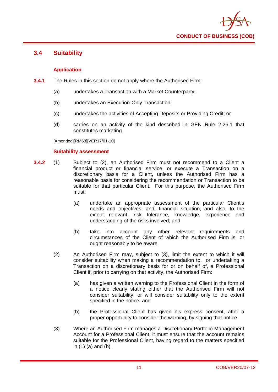

## **3.4 Suitability**

## **Application**

- **3.4.1** The Rules in this section do not apply where the Authorised Firm:
	- (a) undertakes a Transaction with a Market Counterparty;
	- (b) undertakes an Execution-Only Transaction;
	- (c) undertakes the activities of Accepting Deposits or Providing Credit; or
	- (d) carries on an activity of the kind described in GEN Rule 2.26.1 that constitutes marketing.

[Amended][RM68][VER17/01-10]

## **Suitability assessment**

- **3.4.2** (1) Subject to (2), an Authorised Firm must not recommend to a Client a financial product or financial service, or execute a Transaction on a discretionary basis for a Client, unless the Authorised Firm has a reasonable basis for considering the recommendation or Transaction to be suitable for that particular Client. For this purpose, the Authorised Firm must:
	- (a) undertake an appropriate assessment of the particular Client's needs and objectives, and, financial situation, and also, to the extent relevant, risk tolerance, knowledge, experience and understanding of the risks involved; and
	- (b) take into account any other relevant requirements and circumstances of the Client of which the Authorised Firm is, or ought reasonably to be aware.
	- (2) An Authorised Firm may, subject to (3), limit the extent to which it will consider suitability when making a recommendation to, or undertaking a Transaction on a discretionary basis for or on behalf of, a Professional Client if, prior to carrying on that activity, the Authorised Firm:
		- (a) has given a written warning to the Professional Client in the form of a notice clearly stating either that the Authorised Firm will not consider suitability, or will consider suitability only to the extent specified in the notice; and
		- (b) the Professional Client has given his express consent, after a proper opportunity to consider the warning, by signing that notice.
	- (3) Where an Authorised Firm manages a Discretionary Portfolio Management Account for a Professional Client, it must ensure that the account remains suitable for the Professional Client, having regard to the matters specified in (1) (a) and (b).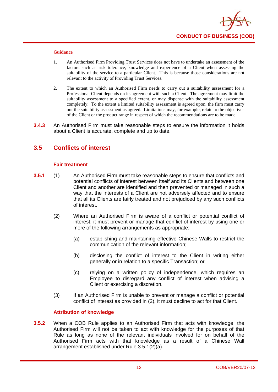

#### **Guidance**

- 1. An Authorised Firm Providing Trust Services does not have to undertake an assessment of the factors such as risk tolerance, knowledge and experience of a Client when assessing the suitability of the service to a particular Client. This is because those considerations are not relevant to the activity of Providing Trust Services.
- 2. The extent to which an Authorised Firm needs to carry out a suitability assessment for a Professional Client depends on its agreement with such a Client. The agreement may limit the suitability assessment to a specified extent, or may dispense with the suitability assessment completely. To the extent a limited suitability assessment is agreed upon, the firm must carry out the suitability assessment as agreed. Limitations may, for example, relate to the objectives of the Client or the product range in respect of which the recommendations are to be made.
- **3.4.3** An Authorised Firm must take reasonable steps to ensure the information it holds about a Client is accurate, complete and up to date.

## **3.5 Conflicts of interest**

## **Fair treatment**

- **3.5.1** (1) An Authorised Firm must take reasonable steps to ensure that conflicts and potential conflicts of interest between itself and its Clients and between one Client and another are identified and then prevented or managed in such a way that the interests of a Client are not adversely affected and to ensure that all its Clients are fairly treated and not prejudiced by any such conflicts of interest.
	- (2) Where an Authorised Firm is aware of a conflict or potential conflict of interest, it must prevent or manage that conflict of interest by using one or more of the following arrangements as appropriate:
		- (a) establishing and maintaining effective Chinese Walls to restrict the communication of the relevant information;
		- (b) disclosing the conflict of interest to the Client in writing either generally or in relation to a specific Transaction; or
		- (c) relying on a written policy of independence, which requires an Employee to disregard any conflict of interest when advising a Client or exercising a discretion.
	- (3) If an Authorised Firm is unable to prevent or manage a conflict or potential conflict of interest as provided in (2), it must decline to act for that Client.

## **Attribution of knowledge**

**3.5.2** When a COB Rule applies to an Authorised Firm that acts with knowledge, the Authorised Firm will not be taken to act with knowledge for the purposes of that Rule as long as none of the relevant individuals involved for on behalf of the Authorised Firm acts with that knowledge as a result of a Chinese Wall arrangement established under Rule 3.5.1(2)(a).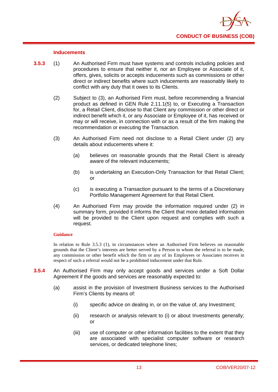

#### **Inducements**

- **3.5.3** (1) An Authorised Firm must have systems and controls including policies and procedures to ensure that neither it, nor an Employee or Associate of it, offers, gives, solicits or accepts inducements such as commissions or other direct or indirect benefits where such inducements are reasonably likely to conflict with any duty that it owes to its Clients.
	- (2) Subject to (3), an Authorised Firm must, before recommending a financial product as defined in GEN Rule 2.11.1(5) to, or Executing a Transaction for, a Retail Client, disclose to that Client any commission or other direct or indirect benefit which it, or any Associate or Employee of it, has received or may or will receive, in connection with or as a result of the firm making the recommendation or executing the Transaction.
	- (3) An Authorised Firm need not disclose to a Retail Client under (2) any details about inducements where it:
		- (a) believes on reasonable grounds that the Retail Client is already aware of the relevant inducements;
		- (b) is undertaking an Execution-Only Transaction for that Retail Client; or
		- (c) is executing a Transaction pursuant to the terms of a Discretionary Portfolio Management Agreement for that Retail Client.
	- (4) An Authorised Firm may provide the information required under (2) in summary form, provided it informs the Client that more detailed information will be provided to the Client upon request and complies with such a request.

#### **Guidance**

In relation to Rule 3.5.3 (1), in circumstances where an Authorised Firm believes on reasonable grounds that the Client's interests are better served by a Person to whom the referral is to be made, any commission or other benefit which the firm or any of its Employees or Associates receives in respect of such a referral would not be a prohibited inducement under that Rule.

- **3.5.4** An Authorised Firm may only accept goods and services under a Soft Dollar Agreement if the goods and services are reasonably expected to:
	- (a) assist in the provision of Investment Business services to the Authorised Firm's Clients by means of:
		- (i) specific advice on dealing in, or on the value of, any Investment;
		- (ii) research or analysis relevant to (i) or about Investments generally; or
		- (iii) use of computer or other information facilities to the extent that they are associated with specialist computer software or research services, or dedicated telephone lines;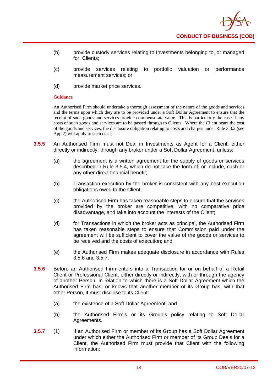

- (b) provide custody services relating to Investments belonging to, or managed for, Clients;
- (c) provide services relating to portfolio valuation or performance measurement services; or
- (d) provide market price services.

#### **Guidance**

An Authorised Firm should undertake a thorough assessment of the nature of the goods and services and the terms upon which they are to be provided under a Soft Dollar Agreement to ensure that the receipt of such goods and services provide commensurate value. This is particularly the case if any costs of such goods and services are to be passed through to Clients. Where the Client bears the cost of the goods and services, the disclosure obligation relating to costs and charges under Rule 3.3.2 (see App 2) will apply to such costs.

- **3.5.5** An Authorised Firm must not Deal in Investments as Agent for a Client, either directly or indirectly, through any broker under a Soft Dollar Agreement, unless:
	- (a) the agreement is a written agreement for the supply of goods or services described in Rule 3.5.4, which do not take the form of, or include, cash or any other direct financial benefit;
	- (b) Transaction execution by the broker is consistent with any best execution obligations owed to the Client;
	- (c) the Authorised Firm has taken reasonable steps to ensure that the services provided by the broker are competitive, with no comparative price disadvantage, and take into account the interests of the Client;
	- (d) for Transactions in which the broker acts as principal, the Authorised Firm has taken reasonable steps to ensure that Commission paid under the agreement will be sufficient to cover the value of the goods or services to be received and the costs of execution; and
	- (e) the Authorised Firm makes adequate disclosure in accordance with Rules 3.5.6 and 3.5.7.
- **3.5.6** Before an Authorised Firm enters into a Transaction for or on behalf of a Retail Client or Professional Client, either directly or indirectly, with or through the agency of another Person, in relation to which there is a Soft Dollar Agreement which the Authorised Firm has, or knows that another member of its Group has, with that other Person, it must disclose to its Client:
	- (a) the existence of a Soft Dollar Agreement; and
	- (b) the Authorised Firm's or its Group's policy relating to Soft Dollar Agreements.
- **3.5.7** (1) If an Authorised Firm or member of its Group has a Soft Dollar Agreement under which either the Authorised Firm or member of its Group Deals for a Client, the Authorised Firm must provide that Client with the following information: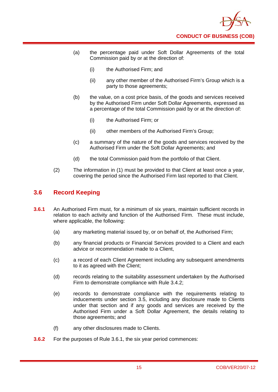

- (a) the percentage paid under Soft Dollar Agreements of the total Commission paid by or at the direction of:
	- (i) the Authorised Firm; and
	- (ii) any other member of the Authorised Firm's Group which is a party to those agreements;
- (b) the value, on a cost price basis, of the goods and services received by the Authorised Firm under Soft Dollar Agreements, expressed as a percentage of the total Commission paid by or at the direction of:
	- (i) the Authorised Firm; or
	- (ii) other members of the Authorised Firm's Group;
- (c) a summary of the nature of the goods and services received by the Authorised Firm under the Soft Dollar Agreements; and
- (d) the total Commission paid from the portfolio of that Client.
- (2) The information in (1) must be provided to that Client at least once a year, covering the period since the Authorised Firm last reported to that Client.

## **3.6 Record Keeping**

- **3.6.1** An Authorised Firm must, for a minimum of six years, maintain sufficient records in relation to each activity and function of the Authorised Firm. These must include, where applicable, the following:
	- (a) any marketing material issued by, or on behalf of, the Authorised Firm;
	- (b) any financial products or Financial Services provided to a Client and each advice or recommendation made to a Client,
	- (c) a record of each Client Agreement including any subsequent amendments to it as agreed with the Client;
	- (d) records relating to the suitability assessment undertaken by the Authorised Firm to demonstrate compliance with Rule 3.4.2;
	- (e) records to demonstrate compliance with the requirements relating to inducements under section 3.5, including any disclosure made to Clients under that section and if any goods and services are received by the Authorised Firm under a Soft Dollar Agreement, the details relating to those agreements; and
	- (f) any other disclosures made to Clients.
- **3.6.2** For the purposes of Rule 3.6.1, the six year period commences: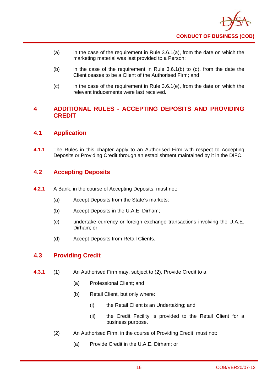- (a) in the case of the requirement in Rule  $3.6.1(a)$ , from the date on which the marketing material was last provided to a Person;
- $(b)$  in the case of the requirement in Rule 3.6.1(b) to (d), from the date the Client ceases to be a Client of the Authorised Firm; and
- $(c)$  in the case of the requirement in Rule 3.6.1(e), from the date on which the relevant inducements were last received.

## **4 ADDITIONAL RULES - ACCEPTING DEPOSITS AND PROVIDING CREDIT**

## **4.1 Application**

**4.1.1** The Rules in this chapter apply to an Authorised Firm with respect to Accepting Deposits or Providing Credit through an establishment maintained by it in the DIFC.

## **4.2 Accepting Deposits**

- **4.2.1** A Bank, in the course of Accepting Deposits, must not:
	- (a) Accept Deposits from the State's markets;
	- (b) Accept Deposits in the U.A.E. Dirham;
	- (c) undertake currency or foreign exchange transactions involving the U.A.E. Dirham; or
	- (d) Accept Deposits from Retail Clients.

## **4.3 Providing Credit**

- **4.3.1** (1) An Authorised Firm may, subject to (2), Provide Credit to a:
	- (a) Professional Client; and
	- (b) Retail Client, but only where:
		- (i) the Retail Client is an Undertaking; and
		- (ii) the Credit Facility is provided to the Retail Client for a business purpose.
	- (2) An Authorised Firm, in the course of Providing Credit, must not:
		- (a) Provide Credit in the U.A.E. Dirham; or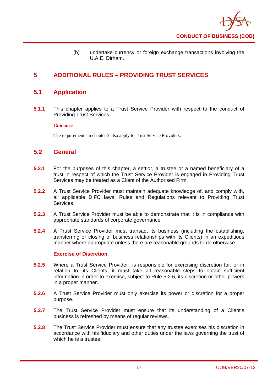

(b) undertake currency or foreign exchange transactions involving the U.A.E. Dirham.

## **5 ADDITIONAL RULES – PROVIDING TRUST SERVICES**

## **5.1 Application**

**5.1.1** This chapter applies to a Trust Service Provider with respect to the conduct of Providing Trust Services.

## **Guidance**

The requirements in chapter 3 also apply to Trust Service Providers.

## **5.2 General**

- **5.2.1** For the purposes of this chapter, a settlor, a trustee or a named beneficiary of a trust in respect of which the Trust Service Provider is engaged in Providing Trust Services may be treated as a Client of the Authorised Firm.
- **5.2.2** A Trust Service Provider must maintain adequate knowledge of, and comply with, all applicable DIFC laws, Rules and Regulations relevant to Providing Trust Services.
- **5.2.3** A Trust Service Provider must be able to demonstrate that it is in compliance with appropriate standards of corporate governance.
- **5.2.4** A Trust Service Provider must transact its business (including the establishing, transferring or closing of business relationships with its Clients) in an expeditious manner where appropriate unless there are reasonable grounds to do otherwise.

## **Exercise of Discretion**

- **5.2.5** Where a Trust Service Provider is responsible for exercising discretion for, or in relation to, its Clients, it must take all reasonable steps to obtain sufficient information in order to exercise, subject to Rule 5.2.6, its discretion or other powers in a proper manner.
- **5.2.6** A Trust Service Provider must only exercise its power or discretion for a proper purpose.
- **5.2.7** The Trust Service Provider must ensure that its understanding of a Client's business is refreshed by means of regular reviews.
- **5.2.8** The Trust Service Provider must ensure that any trustee exercises his discretion in accordance with his fiduciary and other duties under the laws governing the trust of which he is a trustee.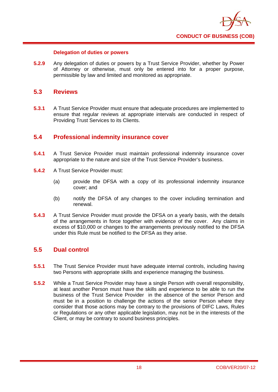

## **Delegation of duties or powers**

**5.2.9** Any delegation of duties or powers by a Trust Service Provider, whether by Power of Attorney or otherwise, must only be entered into for a proper purpose, permissible by law and limited and monitored as appropriate.

## **5.3 Reviews**

**5.3.1** A Trust Service Provider must ensure that adequate procedures are implemented to ensure that regular reviews at appropriate intervals are conducted in respect of Providing Trust Services to its Clients.

## **5.4 Professional indemnity insurance cover**

- **5.4.1** A Trust Service Provider must maintain professional indemnity insurance cover appropriate to the nature and size of the Trust Service Provider's business.
- **5.4.2** A Trust Service Provider must:
	- (a) provide the DFSA with a copy of its professional indemnity insurance cover; and
	- (b) notify the DFSA of any changes to the cover including termination and renewal.
- **5.4.3** A Trust Service Provider must provide the DFSA on a yearly basis, with the details of the arrangements in force together with evidence of the cover. Any claims in excess of \$10,000 or changes to the arrangements previously notified to the DFSA under this Rule must be notified to the DFSA as they arise.

## **5.5 Dual control**

- **5.5.1** The Trust Service Provider must have adequate internal controls, including having two Persons with appropriate skills and experience managing the business.
- **5.5.2** While a Trust Service Provider may have a single Person with overall responsibility, at least another Person must have the skills and experience to be able to run the business of the Trust Service Provider in the absence of the senior Person and must be in a position to challenge the actions of the senior Person where they consider that those actions may be contrary to the provisions of DIFC Laws, Rules or Regulations or any other applicable legislation, may not be in the interests of the Client, or may be contrary to sound business principles.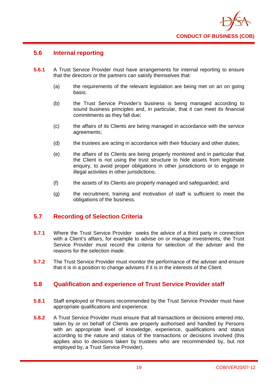

## **5.6 Internal reporting**

- **5.6.1** A Trust Service Provider must have arrangements for internal reporting to ensure that the directors or the partners can satisfy themselves that:
	- (a) the requirements of the relevant legislation are being met on an on going basis;
	- (b) the Trust Service Provider's business is being managed according to sound business principles and, in particular, that it can meet its financial commitments as they fall due;
	- (c) the affairs of its Clients are being managed in accordance with the service agreements;
	- (d) the trustees are acting in accordance with their fiduciary and other duties;
	- (e) the affairs of its Clients are being properly monitored and in particular that the Client is not using the trust structure to hide assets from legitimate enquiry, to avoid proper obligations in other jurisdictions or to engage in illegal activities in other jurisdictions;
	- (f) the assets of its Clients are properly managed and safeguarded; and
	- (g) the recruitment, training and motivation of staff is sufficient to meet the obligations of the business.

## **5.7 Recording of Selection Criteria**

- **5.7.1** Where the Trust Service Provider seeks the advice of a third party in connection with a Client's affairs, for example to advise on or manage investments, the Trust Service Provider must record the criteria for selection of the adviser and the reasons for the selection made.
- **5.7.2** The Trust Service Provider must monitor the performance of the adviser and ensure that it is in a position to change advisers if it is in the interests of the Client.

## **5.8 Qualification and experience of Trust Service Provider staff**

- **5.8.1** Staff employed or Persons recommended by the Trust Service Provider must have appropriate qualifications and experience.
- **5.8.2** A Trust Service Provider must ensure that all transactions or decisions entered into, taken by or on behalf of Clients are properly authorised and handled by Persons with an appropriate level of knowledge, experience, qualifications and status according to the nature and status of the transactions or decisions involved (this applies also to decisions taken by trustees who are recommended by, but not employed by, a Trust Service Provider).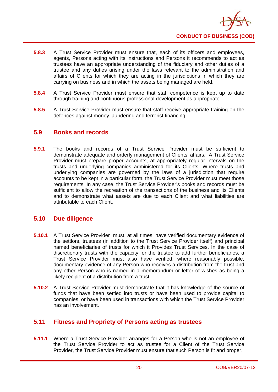

- **5.8.3** A Trust Service Provider must ensure that, each of its officers and employees, agents, Persons acting with its instructions and Persons it recommends to act as trustees have an appropriate understanding of the fiduciary and other duties of a trustee and any duties arising under the laws relevant to the administration and affairs of Clients for which they are acting in the jurisdictions in which they are carrying on business and in which the assets being managed are held.
- **5.8.4** A Trust Service Provider must ensure that staff competence is kept up to date through training and continuous professional development as appropriate.
- **5.8.5** A Trust Service Provider must ensure that staff receive appropriate training on the defences against money laundering and terrorist financing.

## **5.9 Books and records**

**5.9.1** The books and records of a Trust Service Provider must be sufficient to demonstrate adequate and orderly management of Clients' affairs. A Trust Service Provider must prepare proper accounts, at appropriately regular intervals on the trusts and underlying companies administered for its Clients. Where trusts and underlying companies are governed by the laws of a jurisdiction that require accounts to be kept in a particular form, the Trust Service Provider must meet those requirements. In any case, the Trust Service Provider's books and records must be sufficient to allow the recreation of the transactions of the business and its Clients and to demonstrate what assets are due to each Client and what liabilities are attributable to each Client.

## **5.10 Due diligence**

- **5.10.1** A Trust Service Provider must, at all times, have verified documentary evidence of the settlors, trustees (in addition to the Trust Service Provider itself) and principal named beneficiaries of trusts for which it Provides Trust Services. In the case of discretionary trusts with the capacity for the trustee to add further beneficiaries, a Trust Service Provider must also have verified, where reasonably possible, documentary evidence of any Person who receives a distribution from the trust and any other Person who is named in a memorandum or letter of wishes as being a likely recipient of a distribution from a trust.
- **5.10.2** A Trust Service Provider must demonstrate that it has knowledge of the source of funds that have been settled into trusts or have been used to provide capital to companies, or have been used in transactions with which the Trust Service Provider has an involvement.

## **5.11 Fitness and Propriety of Persons acting as trustees**

**5.11.1** Where a Trust Service Provider arranges for a Person who is not an employee of the Trust Service Provider to act as trustee for a Client of the Trust Service Provider, the Trust Service Provider must ensure that such Person is fit and proper.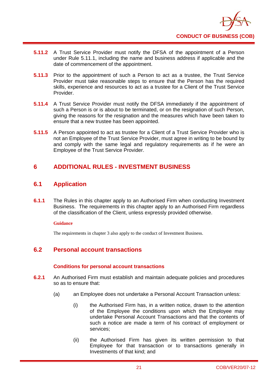

- **5.11.2** A Trust Service Provider must notify the DFSA of the appointment of a Person under Rule 5.11.1, including the name and business address if applicable and the date of commencement of the appointment.
- **5.11.3** Prior to the appointment of such a Person to act as a trustee, the Trust Service Provider must take reasonable steps to ensure that the Person has the required skills, experience and resources to act as a trustee for a Client of the Trust Service Provider.
- **5.11.4** A Trust Service Provider must notify the DFSA immediately if the appointment of such a Person is or is about to be terminated, or on the resignation of such Person, giving the reasons for the resignation and the measures which have been taken to ensure that a new trustee has been appointed.
- **5.11.5** A Person appointed to act as trustee for a Client of a Trust Service Provider who is not an Employee of the Trust Service Provider, must agree in writing to be bound by and comply with the same legal and regulatory requirements as if he were an Employee of the Trust Service Provider.

## **6 ADDITIONAL RULES - INVESTMENT BUSINESS**

## **6.1 Application**

**6.1.1** The Rules in this chapter apply to an Authorised Firm when conducting Investment Business. The requirements in this chapter apply to an Authorised Firm regardless of the classification of the Client, unless expressly provided otherwise.

## **Guidance**

The requirements in chapter 3 also apply to the conduct of Investment Business.

## **6.2 Personal account transactions**

## **Conditions for personal account transactions**

- **6.2.1** An Authorised Firm must establish and maintain adequate policies and procedures so as to ensure that:
	- (a) an Employee does not undertake a Personal Account Transaction unless:
		- (i) the Authorised Firm has, in a written notice, drawn to the attention of the Employee the conditions upon which the Employee may undertake Personal Account Transactions and that the contents of such a notice are made a term of his contract of employment or services;
		- (ii) the Authorised Firm has given its written permission to that Employee for that transaction or to transactions generally in Investments of that kind; and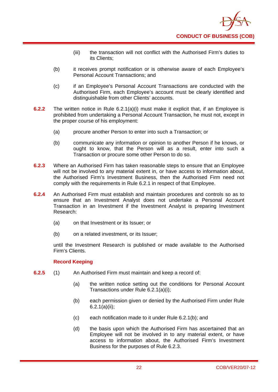

- (iii) the transaction will not conflict with the Authorised Firm's duties to its Clients;
- (b) it receives prompt notification or is otherwise aware of each Employee's Personal Account Transactions; and
- (c) if an Employee's Personal Account Transactions are conducted with the Authorised Firm, each Employee's account must be clearly identified and distinguishable from other Clients' accounts.
- **6.2.2** The written notice in Rule 6.2.1(a)(i) must make it explicit that, if an Employee is prohibited from undertaking a Personal Account Transaction, he must not, except in the proper course of his employment:
	- (a) procure another Person to enter into such a Transaction; or
	- (b) communicate any information or opinion to another Person if he knows, or ought to know, that the Person will as a result, enter into such a Transaction or procure some other Person to do so.
- **6.2.3** Where an Authorised Firm has taken reasonable steps to ensure that an Employee will not be involved to any material extent in, or have access to information about, the Authorised Firm's Investment Business, then the Authorised Firm need not comply with the requirements in Rule 6.2.1 in respect of that Employee.
- **6.2.4** An Authorised Firm must establish and maintain procedures and controls so as to ensure that an Investment Analyst does not undertake a Personal Account Transaction in an Investment if the Investment Analyst is preparing Investment Research:
	- (a) on that Investment or its Issuer; or
	- (b) on a related investment, or its Issuer:

until the Investment Research is published or made available to the Authorised Firm's Clients.

## **Record Keeping**

- **6.2.5** (1) An Authorised Firm must maintain and keep a record of:
	- (a) the written notice setting out the conditions for Personal Account Transactions under Rule 6.2.1(a)(i);
	- (b) each permission given or denied by the Authorised Firm under Rule 6.2.1(a)(ii);
	- (c) each notification made to it under Rule 6.2.1(b); and
	- (d) the basis upon which the Authorised Firm has ascertained that an Employee will not be involved in to any material extent, or have access to information about, the Authorised Firm's Investment Business for the purposes of Rule 6.2.3.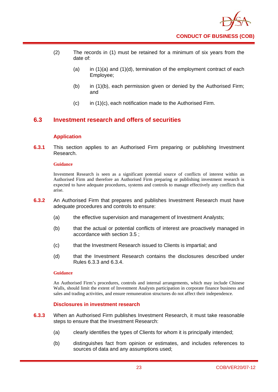

- (2) The records in (1) must be retained for a minimum of six years from the date of:
	- (a) in  $(1)(a)$  and  $(1)(d)$ , termination of the employment contract of each Employee;
	- (b) in (1)(b), each permission given or denied by the Authorised Firm; and
	- $(c)$  in (1)(c), each notification made to the Authorised Firm.

## **6.3 Investment research and offers of securities**

## **Application**

**6.3.1** This section applies to an Authorised Firm preparing or publishing Investment Research.

#### **Guidance**

Investment Research is seen as a significant potential source of conflicts of interest within an Authorised Firm and therefore an Authorised Firm preparing or publishing investment research is expected to have adequate procedures, systems and controls to manage effectively any conflicts that arise.

- **6.3.2** An Authorised Firm that prepares and publishes Investment Research must have adequate procedures and controls to ensure:
	- (a) the effective supervision and management of Investment Analysts;
	- (b) that the actual or potential conflicts of interest are proactively managed in accordance with section 3.5 ;
	- (c) that the Investment Research issued to Clients is impartial; and
	- (d) that the Investment Research contains the disclosures described under Rules 6.3.3 and 6.3.4.

#### **Guidance**

An Authorised Firm's procedures, controls and internal arrangements, which may include Chinese Walls, should limit the extent of Investment Analysts participation in corporate finance business and sales and trading activities, and ensure remuneration structures do not affect their independence.

## **Disclosures in investment research**

- **6.3.3** When an Authorised Firm publishes Investment Research, it must take reasonable steps to ensure that the Investment Research:
	- (a) clearly identifies the types of Clients for whom it is principally intended;
	- (b) distinguishes fact from opinion or estimates, and includes references to sources of data and any assumptions used;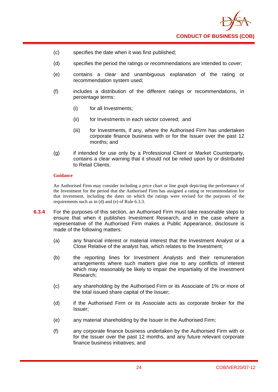- (c) specifies the date when it was first published;
- (d) specifies the period the ratings or recommendations are intended to cover;
- (e) contains a clear and unambiguous explanation of the rating or recommendation system used;
- (f) includes a distribution of the different ratings or recommendations, in percentage terms:
	- (i) for all Investments;
	- (ii) for Investments in each sector covered; and
	- (iii) for Investments, if any, where the Authorised Firm has undertaken corporate finance business with or for the Issuer over the past 12 months; and
- (g) if intended for use only by a Professional Client or Market Counterparty, contains a clear warning that it should not be relied upon by or distributed to Retail Clients.

#### **Guidance**

An Authorised Firm may consider including a price chart or line graph depicting the performance of the Investment for the period that the Authorised Firm has assigned a rating or recommendation for that investment, including the dates on which the ratings were revised for the purposes of the requirements such as in (d) and (e) of Rule 6.3.3.

- **6.3.4** For the purposes of this section, an Authorised Firm must take reasonable steps to ensure that when it publishes Investment Research, and in the case where a representative of the Authorised Firm makes a Public Appearance, disclosure is made of the following matters:
	- (a) any financial interest or material interest that the Investment Analyst or a Close Relative of the analyst has, which relates to the Investment;
	- (b) the reporting lines for Investment Analysts and their remuneration arrangements where such matters give rise to any conflicts of interest which may reasonably be likely to impair the impartiality of the Investment Research;
	- (c) any shareholding by the Authorised Firm or its Associate of 1% or more of the total issued share capital of the Issuer;
	- (d) if the Authorised Firm or its Associate acts as corporate broker for the Issuer;
	- (e) any material shareholding by the Issuer in the Authorised Firm;
	- (f) any corporate finance business undertaken by the Authorised Firm with or for the Issuer over the past 12 months, and any future relevant corporate finance business initiatives; and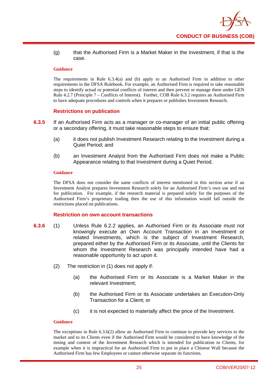

(g) that the Authorised Firm is a Market Maker in the Investment, if that is the case.

#### **Guidance**

The requirements in Rule 6.3.4(a) and (b) apply to an Authorised Firm in addition to other requirements in the DFSA Rulebook. For example, an Authorised Firm is required to take reasonable steps to identify actual or potential conflicts of interest and then prevent or manage them under GEN Rule 4.2.7 (Principle 7 – Conflicts of Interest). Further, COB Rule 6.3.2 requires an Authorised Firm to have adequate procedures and controls when it prepares or publishes Investment Research.

## **Restrictions on publication**

- **6.3.5** If an Authorised Firm acts as a manager or co-manager of an initial public offering or a secondary offering, it must take reasonable steps to ensure that:
	- (a) it does not publish Investment Research relating to the Investment during a Quiet Period; and
	- (b) an Investment Analyst from the Authorised Firm does not make a Public Appearance relating to that Investment during a Quiet Period.

#### **Guidance**

The DFSA does not consider the same conflicts of interest mentioned in this section arise if an Investment Analyst prepares Investment Research solely for an Authorised Firm's own use and not for publication. For example, if the research material is prepared solely for the purposes of the Authorised Firm's proprietary trading then the use of this information would fall outside the restrictions placed on publications.

## **Restriction on own account transactions**

- **6.3.6** (1) Unless Rule 6.2.2 applies, an Authorised Firm or its Associate must not knowingly execute an Own Account Transaction in an Investment or related Investments, which is the subject of Investment Research, prepared either by the Authorised Firm or its Associate, until the Clients for whom the Investment Research was principally intended have had a reasonable opportunity to act upon it.
	- (2) The restriction in (1) does not apply if:
		- (a) the Authorised Firm or its Associate is a Market Maker in the relevant Investment;
		- (b) the Authorised Firm or its Associate undertakes an Execution-Only Transaction for a Client; or
		- (c) it is not expected to materially affect the price of the Investment.

## **Guidance**

The exceptions in Rule 6.3.6(2) allow an Authorised Firm to continue to provide key services to the market and to its Clients even if the Authorised Firm would be considered to have knowledge of the timing and content of the Investment Research which is intended for publication to Clients, for example when it is impractical for an Authorised Firm to put in place a Chinese Wall because the Authorised Firm has few Employees or cannot otherwise separate its functions.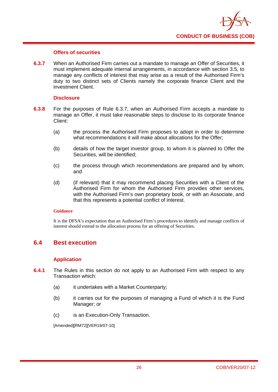

## **Offers of securities**

**6.3.7** When an Authorised Firm carries out a mandate to manage an Offer of Securities, it must implement adequate internal arrangements, in accordance with section 3.5, to manage any conflicts of interest that may arise as a result of the Authorised Firm's duty to two distinct sets of Clients namely the corporate finance Client and the investment Client.

## **Disclosure**

- **6.3.8** For the purposes of Rule 6.3.7, when an Authorised Firm accepts a mandate to manage an Offer, it must take reasonable steps to disclose to its corporate finance Client:
	- (a) the process the Authorised Firm proposes to adopt in order to determine what recommendations it will make about allocations for the Offer;
	- (b) details of how the target investor group, to whom it is planned to Offer the Securities, will be identified;
	- (c) the process through which recommendations are prepared and by whom; and
	- (d) (if relevant) that it may recommend placing Securities with a Client of the Authorised Firm for whom the Authorised Firm provides other services, with the Authorised Firm's own proprietary book, or with an Associate, and that this represents a potential conflict of interest.

## **Guidance**

It is the DFSA's expectation that an Authorised Firm's procedures to identify and manage conflicts of interest should extend to the allocation process for an offering of Securities.

## **6.4 Best execution**

## **Application**

- **6.4.1** The Rules in this section do not apply to an Authorised Firm with respect to any Transaction which:
	- (a) it undertakes with a Market Counterparty;
	- (b) it carries out for the purposes of managing a Fund of which it is the Fund Manager; or
	- (c) is an Execution-Only Transaction.

[Amended][RM72][VER19/07-10]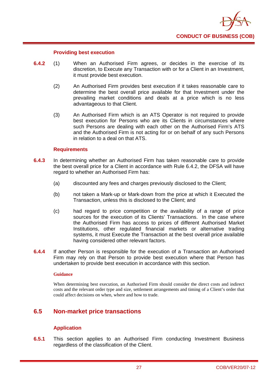

#### **Providing best execution**

- **6.4.2** (1) When an Authorised Firm agrees, or decides in the exercise of its discretion, to Execute any Transaction with or for a Client in an Investment, it must provide best execution.
	- (2) An Authorised Firm provides best execution if it takes reasonable care to determine the best overall price available for that Investment under the prevailing market conditions and deals at a price which is no less advantageous to that Client.
	- (3) An Authorised Firm which is an ATS Operator is not required to provide best execution for Persons who are its Clients in circumstances where such Persons are dealing with each other on the Authorised Firm's ATS and the Authorised Firm is not acting for or on behalf of any such Persons in relation to a deal on that ATS.

#### **Requirements**

- **6.4.3** In determining whether an Authorised Firm has taken reasonable care to provide the best overall price for a Client in accordance with Rule 6.4.2, the DFSA will have regard to whether an Authorised Firm has:
	- (a) discounted any fees and charges previously disclosed to the Client;
	- (b) not taken a Mark-up or Mark-down from the price at which it Executed the Transaction, unless this is disclosed to the Client; and
	- (c) had regard to price competition or the availability of a range of price sources for the execution of its Clients' Transactions. In the case where the Authorised Firm has access to prices of different Authorised Market Institutions, other regulated financial markets or alternative trading systems, it must Execute the Transaction at the best overall price available having considered other relevant factors.
- **6.4.4** If another Person is responsible for the execution of a Transaction an Authorised Firm may rely on that Person to provide best execution where that Person has undertaken to provide best execution in accordance with this section.

#### **Guidance**

When determining best execution, an Authorised Firm should consider the direct costs and indirect costs and the relevant order type and size, settlement arrangements and timing of a Client's order that could affect decisions on when, where and how to trade.

## **6.5 Non-market price transactions**

## **Application**

**6.5.1** This section applies to an Authorised Firm conducting Investment Business regardless of the classification of the Client.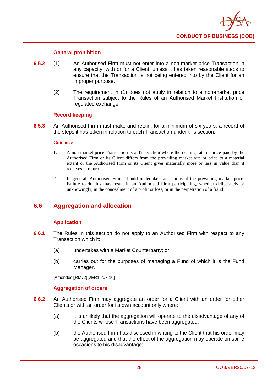

## **General prohibition**

- **6.5.2** (1) An Authorised Firm must not enter into a non-market price Transaction in any capacity, with or for a Client, unless it has taken reasonable steps to ensure that the Transaction is not being entered into by the Client for an improper purpose.
	- (2) The requirement in (1) does not apply in relation to a non-market price Transaction subject to the Rules of an Authorised Market Institution or regulated exchange.

#### **Record keeping**

**6.5.3** An Authorised Firm must make and retain, for a minimum of six years, a record of the steps it has taken in relation to each Transaction under this section.

#### **Guidance**

- 1. A non-market price Transaction is a Transaction where the dealing rate or price paid by the Authorised Firm or its Client differs from the prevailing market rate or price to a material extent or the Authorised Firm or its Client gives materially more or less in value than it receives in return.
- 2. In general, Authorised Firms should undertake transactions at the prevailing market price. Failure to do this may result in an Authorised Firm participating, whether deliberately or unknowingly, in the concealment of a profit or loss, or in the perpetration of a fraud.

## **6.6 Aggregation and allocation**

## **Application**

- **6.6.1** The Rules in this section do not apply to an Authorised Firm with respect to any Transaction which it:
	- (a) undertakes with a Market Counterparty; or
	- (b) carries out for the purposes of managing a Fund of which it is the Fund Manager.

[Amended][RM72][VER19/07-10]

## **Aggregation of orders**

- **6.6.2** An Authorised Firm may aggregate an order for a Client with an order for other Clients or with an order for its own account only where:
	- (a) it is unlikely that the aggregation will operate to the disadvantage of any of the Clients whose Transactions have been aggregated;
	- (b) the Authorised Firm has disclosed in writing to the Client that his order may be aggregated and that the effect of the aggregation may operate on some occasions to his disadvantage;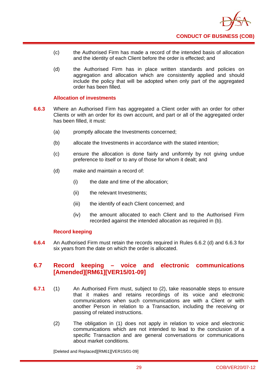

- (c) the Authorised Firm has made a record of the intended basis of allocation and the identity of each Client before the order is effected; and
- (d) the Authorised Firm has in place written standards and policies on aggregation and allocation which are consistently applied and should include the policy that will be adopted when only part of the aggregated order has been filled.

## **Allocation of investments**

- **6.6.3** Where an Authorised Firm has aggregated a Client order with an order for other Clients or with an order for its own account, and part or all of the aggregated order has been filled, it must:
	- (a) promptly allocate the Investments concerned;
	- (b) allocate the Investments in accordance with the stated intention;
	- (c) ensure the allocation is done fairly and uniformly by not giving undue preference to itself or to any of those for whom it dealt; and
	- (d) make and maintain a record of:
		- (i) the date and time of the allocation;
		- (ii) the relevant Investments;
		- (iii) the identify of each Client concerned; and
		- (iv) the amount allocated to each Client and to the Authorised Firm recorded against the intended allocation as required in (b).

## **Record keeping**

**6.6.4** An Authorised Firm must retain the records required in Rules 6.6.2 (d) and 6.6.3 for six years from the date on which the order is allocated.

## **6.7 Record keeping – voice and electronic communications [Amended][RM61][VER15/01-09]**

- **6.7.1** (1) An Authorised Firm must, subject to (2), take reasonable steps to ensure that it makes and retains recordings of its voice and electronic communications when such communications are with a Client or with another Person in relation to a Transaction, including the receiving or passing of related instructions.
	- (2) The obligation in (1) does not apply in relation to voice and electronic communications which are not intended to lead to the conclusion of a specific Transaction and are general conversations or communications about market conditions.

[Deleted and Replaced][RM61][VER15/01-09]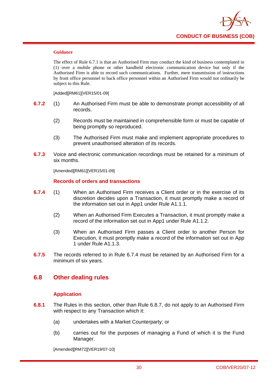

#### **Guidance**

The effect of Rule 6.7.1 is that an Authorised Firm may conduct the kind of business contemplated in (1) over a mobile phone or other handheld electronic communication device but only if the Authorised Firm is able to record such communications. Further, mere transmission of instructions by front office personnel to back office personnel within an Authorised Firm would not ordinarily be subject to this Rule.

[Added][RM61][VER15/01-09]

- **6.7.2** (1) An Authorised Firm must be able to demonstrate prompt accessibility of all records.
	- (2) Records must be maintained in comprehensible form or must be capable of being promptly so reproduced.
	- (3) The Authorised Firm must make and implement appropriate procedures to prevent unauthorised alteration of its records.
- **6.7.3** Voice and electronic communication recordings must be retained for a minimum of six months.

[Amended][RM61][VER15/01-09]

## **Records of orders and transactions**

- **6.7.4** (1) When an Authorised Firm receives a Client order or in the exercise of its discretion decides upon a Transaction, it must promptly make a record of the information set out in App1 under Rule A1.1.1.
	- (2) When an Authorised Firm Executes a Transaction, it must promptly make a record of the information set out in App1 under Rule A1.1.2.
	- (3) When an Authorised Firm passes a Client order to another Person for Execution, it must promptly make a record of the information set out in App 1 under Rule A1.1.3.
- **6.7.5** The records referred to in Rule 6.7.4 must be retained by an Authorised Firm for a minimum of six years.

## **6.8 Other dealing rules**

## **Application**

- **6.8.1** The Rules in this section, other than Rule 6.8.7, do not apply to an Authorised Firm with respect to any Transaction which it:
	- (a) undertakes with a Market Counterparty; or
	- (b) carries out for the purposes of managing a Fund of which it is the Fund Manager.

[Amended][RM72][VER19/07-10]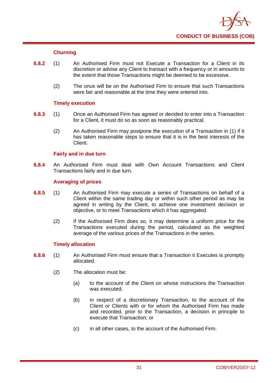

## **Churning**

- **6.8.2** (1) An Authorised Firm must not Execute a Transaction for a Client in its discretion or advise any Client to transact with a frequency or in amounts to the extent that those Transactions might be deemed to be excessive.
	- (2) The onus will be on the Authorised Firm to ensure that such Transactions were fair and reasonable at the time they were entered into.

## **Timely execution**

- **6.8.3** (1) Once an Authorised Firm has agreed or decided to enter into a Transaction for a Client, it must do so as soon as reasonably practical.
	- (2) An Authorised Firm may postpone the execution of a Transaction in (1) if it has taken reasonable steps to ensure that it is in the best interests of the Client.

## **Fairly and in due turn**

**6.8.4** An Authorised Firm must deal with Own Account Transactions and Client Transactions fairly and in due turn.

## **Averaging of prices**

- **6.8.5** (1) An Authorised Firm may execute a series of Transactions on behalf of a Client within the same trading day or within such other period as may be agreed in writing by the Client, to achieve one investment decision or objective, or to meet Transactions which it has aggregated.
	- (2) If the Authorised Firm does so, it may determine a uniform price for the Transactions executed during the period, calculated as the weighted average of the various prices of the Transactions in the series.

## **Timely allocation**

- **6.8.6** (1) An Authorised Firm must ensure that a Transaction it Executes is promptly allocated.
	- (2) The allocation must be:
		- (a) to the account of the Client on whose instructions the Transaction was executed;
		- (b) in respect of a discretionary Transaction, to the account of the Client or Clients with or for whom the Authorised Firm has made and recorded, prior to the Transaction, a decision in principle to execute that Transaction; or
		- (c) in all other cases, to the account of the Authorised Firm.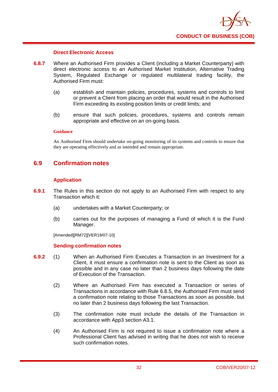

#### **Direct Electronic Access**

- **6.8.7** Where an Authorised Firm provides a Client (including a Market Counterparty) with direct electronic access to an Authorised Market Institution, Alternative Trading System, Regulated Exchange or regulated multilateral trading facility, the Authorised Firm must:
	- (a) establish and maintain policies, procedures, systems and controls to limit or prevent a Client from placing an order that would result in the Authorised Firm exceeding its existing position limits or credit limits; and
	- (b) ensure that such policies, procedures, systems and controls remain appropriate and effective on an on-going basis.

## **Guidance**

An Authorised Firm should undertake on-going monitoring of its systems and controls to ensure that they are operating effectively and as intended and remain appropriate.

## **6.9 Confirmation notes**

#### **Application**

- **6.9.1** The Rules in this section do not apply to an Authorised Firm with respect to any Transaction which it:
	- (a) undertakes with a Market Counterparty; or
	- (b) carries out for the purposes of managing a Fund of which it is the Fund Manager.

[Amended][RM72][VER19/07-10]

#### **Sending confirmation notes**

- **6.9.2** (1) When an Authorised Firm Executes a Transaction in an Investment for a Client, it must ensure a confirmation note is sent to the Client as soon as possible and in any case no later than 2 business days following the date of Execution of the Transaction.
	- (2) Where an Authorised Firm has executed a Transaction or series of Transactions in accordance with Rule 6.8.5, the Authorised Firm must send a confirmation note relating to those Transactions as soon as possible, but no later than 2 business days following the last Transaction.
	- (3) The confirmation note must include the details of the Transaction in accordance with App3 section A3.1.
	- (4) An Authorised Firm is not required to issue a confirmation note where a Professional Client has advised in writing that he does not wish to receive such confirmation notes.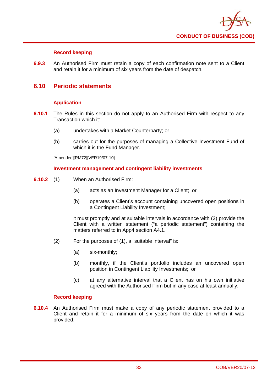

## **Record keeping**

**6.9.3** An Authorised Firm must retain a copy of each confirmation note sent to a Client and retain it for a minimum of six years from the date of despatch.

# **6.10 Periodic statements**

# **Application**

- **6.10.1** The Rules in this section do not apply to an Authorised Firm with respect to any Transaction which it:
	- (a) undertakes with a Market Counterparty; or
	- (b) carries out for the purposes of managing a Collective Investment Fund of which it is the Fund Manager.

[Amended][RM72][VER19/07-10]

### **Investment management and contingent liability investments**

- **6.10.2** (1) When an Authorised Firm:
	- (a) acts as an Investment Manager for a Client; or
	- (b) operates a Client's account containing uncovered open positions in a Contingent Liability Investment;

it must promptly and at suitable intervals in accordance with (2) provide the Client with a written statement ("a periodic statement") containing the matters referred to in App4 section A4.1.

- (2) For the purposes of (1), a "suitable interval" is:
	- (a) six-monthly;
	- (b) monthly, if the Client's portfolio includes an uncovered open position in Contingent Liability Investments; or
	- (c) at any alternative interval that a Client has on his own initiative agreed with the Authorised Firm but in any case at least annually.

## **Record keeping**

**6.10.4** An Authorised Firm must make a copy of any periodic statement provided to a Client and retain it for a minimum of six years from the date on which it was provided.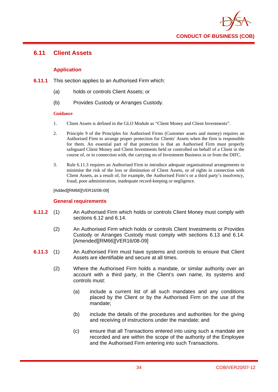

# **6.11 Client Assets**

# **Application**

- **6.11.1** This section applies to an Authorised Firm which:
	- (a) holds or controls Client Assets; or
	- (b) Provides Custody or Arranges Custody.

### **Guidance**

- 1. Client Assets is defined in the GLO Module as "Client Money and Client Investments".
- 2. Principle 9 of the Principles for Authorised Firms (Customer assets and money) requires an Authorised Firm to arrange proper protection for Clients' Assets when the firm is responsible for them. An essential part of that protection is that an Authorised Firm must properly safeguard Client Money and Client Investments held or controlled on behalf of a Client in the course of, or in connection with, the carrying on of Investment Business in or from the DIFC.
- 3. Rule 6.11.3 requires an Authorised Firm to introduce adequate organisational arrangements to minimise the risk of the loss or diminution of Client Assets, or of rights in connection with Client Assets, as a result of, for example, the Authorised Firm's or a third party's insolvency, fraud, poor administration, inadequate record-keeping or negligence.

[Added][RM66][VER16/08-09]

# **General requirements**

- **6.11.2** (1) An Authorised Firm which holds or controls Client Money must comply with sections 6.12 and 6.14.
	- (2) An Authorised Firm which holds or controls Client Investments or Provides Custody or Arranges Custody must comply with sections 6.13 and 6.14. [Amended][RM66][VER16/08-09]
- **6.11.3** (1) An Authorised Firm must have systems and controls to ensure that Client Assets are identifiable and secure at all times.
	- (2) Where the Authorised Firm holds a mandate, or similar authority over an account with a third party, in the Client's own name, its systems and controls must:
		- (a) include a current list of all such mandates and any conditions placed by the Client or by the Authorised Firm on the use of the mandate;
		- (b) include the details of the procedures and authorities for the giving and receiving of instructions under the mandate; and
		- (c) ensure that all Transactions entered into using such a mandate are recorded and are within the scope of the authority of the Employee and the Authorised Firm entering into such Transactions.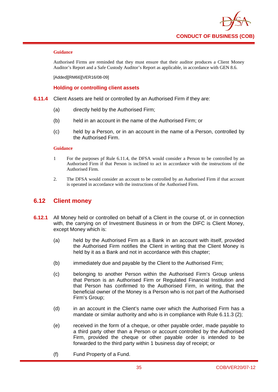

Authorised Firms are reminded that they must ensure that their auditor produces a Client Money Auditor's Report and a Safe Custody Auditor's Report as applicable, in accordance with GEN 8.6.

[Added][RM66][VER16/08-09]

### **Holding or controlling client assets**

- **6.11.4** Client Assets are held or controlled by an Authorised Firm if they are:
	- (a) directly held by the Authorised Firm;
	- (b) held in an account in the name of the Authorised Firm; or
	- (c) held by a Person, or in an account in the name of a Person, controlled by the Authorised Firm.

#### **Guidance**

- 1 For the purposes pf Rule 6.11.4, the DFSA would consider a Person to be controlled by an Authorised Firm if that Person is inclined to act in accordance with the instructions of the Authorised Firm.
- 2. The DFSA would consider an account to be controlled by an Authorised Firm if that account is operated in accordance with the instructions of the Authorised Firm.

# **6.12 Client money**

- **6.12.1** All Money held or controlled on behalf of a Client in the course of, or in connection with, the carrying on of Investment Business in or from the DIFC is Client Money, except Money which is:
	- (a) held by the Authorised Firm as a Bank in an account with itself, provided the Authorised Firm notifies the Client in writing that the Client Money is held by it as a Bank and not in accordance with this chapter;
	- (b) immediately due and payable by the Client to the Authorised Firm;
	- (c) belonging to another Person within the Authorised Firm's Group unless that Person is an Authorised Firm or Regulated Financial Institution and that Person has confirmed to the Authorised Firm, in writing, that the beneficial owner of the Money is a Person who is not part of the Authorised Firm's Group;
	- (d) in an account in the Client's name over which the Authorised Firm has a mandate or similar authority and who is in compliance with Rule 6.11.3 (2);
	- (e) received in the form of a cheque, or other payable order, made payable to a third party other than a Person or account controlled by the Authorised Firm, provided the cheque or other payable order is intended to be forwarded to the third party within 1 business day of receipt; or
	- (f) Fund Property of a Fund.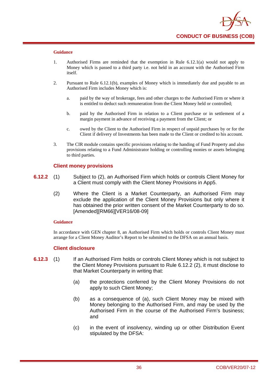

- 1. Authorised Firms are reminded that the exemption in Rule 6.12.1(a) would not apply to Money which is passed to a third party i.e. not held in an account with the Authorised Firm itself.
- 2. Pursuant to Rule 6.12.1(b), examples of Money which is immediately due and payable to an Authorised Firm includes Money which is:
	- a. paid by the way of brokerage, fees and other charges to the Authorised Firm or where it is entitled to deduct such remuneration from the Client Money held or controlled;
	- b. paid by the Authorised Firm in relation to a Client purchase or in settlement of a margin payment in advance of receiving a payment from the Client; or
	- c. owed by the Client to the Authorised Firm in respect of unpaid purchases by or for the Client if delivery of Investments has been made to the Client or credited to his account.
- 3. The CIR module contains specific provisions relating to the handing of Fund Property and also provisions relating to a Fund Administrator holding or controlling monies or assets belonging to third parties.

### **Client money provisions**

- **6.12.2** (1) Subject to (2), an Authorised Firm which holds or controls Client Money for a Client must comply with the Client Money Provisions in App5.
	- (2) Where the Client is a Market Counterparty, an Authorised Firm may exclude the application of the Client Money Provisions but only where it has obtained the prior written consent of the Market Counterparty to do so. [Amended][RM66][VER16/08-09]

#### **Guidance**

In accordance with GEN chapter 8, an Authorised Firm which holds or controls Client Money must arrange for a Client Money Auditor's Report to be submitted to the DFSA on an annual basis.

### **Client disclosure**

- **6.12.3** (1) If an Authorised Firm holds or controls Client Money which is not subject to the Client Money Provisions pursuant to Rule 6.12.2 (2), it must disclose to that Market Counterparty in writing that:
	- (a) the protections conferred by the Client Money Provisions do not apply to such Client Money;
	- (b) as a consequence of (a), such Client Money may be mixed with Money belonging to the Authorised Firm, and may be used by the Authorised Firm in the course of the Authorised Firm's business; and
	- (c) in the event of insolvency, winding up or other Distribution Event stipulated by the DFSA: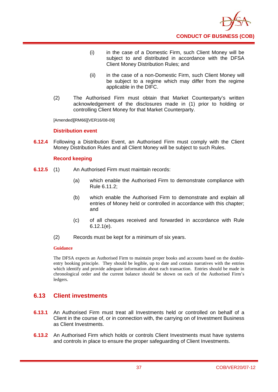

- (i) in the case of a Domestic Firm, such Client Money will be subject to and distributed in accordance with the DFSA Client Money Distribution Rules; and
- (ii) in the case of a non-Domestic Firm, such Client Money will be subject to a regime which may differ from the regime applicable in the DIFC.
- (2) The Authorised Firm must obtain that Market Counterparty's written acknowledgement of the disclosures made in (1) prior to holding or controlling Client Money for that Market Counterparty.

[Amended][RM66][VER16/08-09]

## **Distribution event**

**6.12.4** Following a Distribution Event, an Authorised Firm must comply with the Client Money Distribution Rules and all Client Money will be subject to such Rules.

## **Record keeping**

- **6.12.5** (1) An Authorised Firm must maintain records:
	- (a) which enable the Authorised Firm to demonstrate compliance with Rule 6.11.2;
	- (b) which enable the Authorised Firm to demonstrate and explain all entries of Money held or controlled in accordance with this chapter; and
	- (c) of all cheques received and forwarded in accordance with Rule 6.12.1(e).
	- (2) Records must be kept for a minimum of six years.

### **Guidance**

The DFSA expects an Authorised Firm to maintain proper books and accounts based on the doubleentry booking principle. They should be legible, up to date and contain narratives with the entries which identify and provide adequate information about each transaction. Entries should be made in chronological order and the current balance should be shown on each of the Authorised Firm's ledgers.

# **6.13 Client investments**

- **6.13.1** An Authorised Firm must treat all Investments held or controlled on behalf of a Client in the course of, or in connection with, the carrying on of Investment Business as Client Investments.
- **6.13.2** An Authorised Firm which holds or controls Client Investments must have systems and controls in place to ensure the proper safeguarding of Client Investments.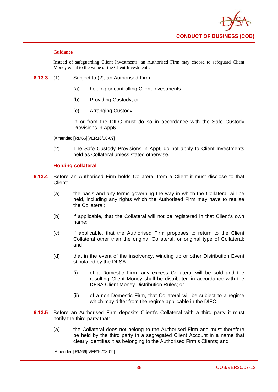

Instead of safeguarding Client Investments, an Authorised Firm may choose to safeguard Client Money equal to the value of the Client Investments.

- **6.13.3** (1) Subject to (2), an Authorised Firm:
	- (a) holding or controlling Client Investments;
	- (b) Providing Custody; or
	- (c) Arranging Custody

in or from the DIFC must do so in accordance with the Safe Custody Provisions in App6.

[Amended][RM66][VER16/08-09]

(2) The Safe Custody Provisions in App6 do not apply to Client Investments held as Collateral unless stated otherwise.

## **Holding collateral**

- **6.13.4** Before an Authorised Firm holds Collateral from a Client it must disclose to that Client:
	- (a) the basis and any terms governing the way in which the Collateral will be held, including any rights which the Authorised Firm may have to realise the Collateral;
	- (b) if applicable, that the Collateral will not be registered in that Client's own name;
	- (c) if applicable, that the Authorised Firm proposes to return to the Client Collateral other than the original Collateral, or original type of Collateral; and
	- (d) that in the event of the insolvency, winding up or other Distribution Event stipulated by the DFSA:
		- (i) of a Domestic Firm, any excess Collateral will be sold and the resulting Client Money shall be distributed in accordance with the DFSA Client Money Distribution Rules; or
		- (ii) of a non-Domestic Firm, that Collateral will be subject to a regime which may differ from the regime applicable in the DIFC.
- **6.13.5** Before an Authorised Firm deposits Client's Collateral with a third party it must notify the third party that:
	- (a) the Collateral does not belong to the Authorised Firm and must therefore be held by the third party in a segregated Client Account in a name that clearly identifies it as belonging to the Authorised Firm's Clients; and

[Amended][RM66][VER16/08-09]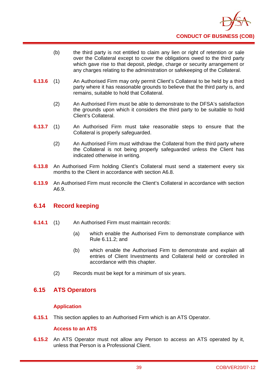

- (b) the third party is not entitled to claim any lien or right of retention or sale over the Collateral except to cover the obligations owed to the third party which gave rise to that deposit, pledge, charge or security arrangement or any charges relating to the administration or safekeeping of the Collateral.
- **6.13.6** (1) An Authorised Firm may only permit Client's Collateral to be held by a third party where it has reasonable grounds to believe that the third party is, and remains, suitable to hold that Collateral.
	- (2) An Authorised Firm must be able to demonstrate to the DFSA's satisfaction the grounds upon which it considers the third party to be suitable to hold Client's Collateral.
- **6.13.7** (1) An Authorised Firm must take reasonable steps to ensure that the Collateral is properly safeguarded.
	- (2) An Authorised Firm must withdraw the Collateral from the third party where the Collateral is not being properly safeguarded unless the Client has indicated otherwise in writing.
- **6.13.8** An Authorised Firm holding Client's Collateral must send a statement every six months to the Client in accordance with section A6.8.
- **6.13.9** An Authorised Firm must reconcile the Client's Collateral in accordance with section A6.9.

# **6.14 Record keeping**

- **6.14.1** (1) An Authorised Firm must maintain records:
	- (a) which enable the Authorised Firm to demonstrate compliance with Rule 6.11.2; and
	- (b) which enable the Authorised Firm to demonstrate and explain all entries of Client Investments and Collateral held or controlled in accordance with this chapter.
	- (2) Records must be kept for a minimum of six years.

# **6.15 ATS Operators**

# **Application**

**6.15.1** This section applies to an Authorised Firm which is an ATS Operator.

# **Access to an ATS**

**6.15.2** An ATS Operator must not allow any Person to access an ATS operated by it, unless that Person is a Professional Client.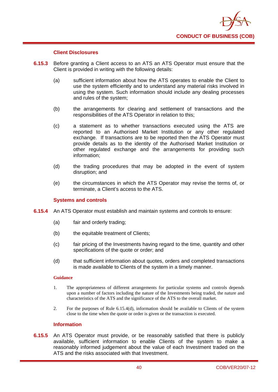

## **Client Disclosures**

- **6.15.3** Before granting a Client access to an ATS an ATS Operator must ensure that the Client is provided in writing with the following details:
	- (a) sufficient information about how the ATS operates to enable the Client to use the system efficiently and to understand any material risks involved in using the system. Such information should include any dealing processes and rules of the system;
	- (b) the arrangements for clearing and settlement of transactions and the responsibilities of the ATS Operator in relation to this;
	- (c) a statement as to whether transactions executed using the ATS are reported to an Authorised Market Institution or any other regulated exchange. If transactions are to be reported then the ATS Operator must provide details as to the identity of the Authorised Market Institution or other regulated exchange and the arrangements for providing such information;
	- (d) the trading procedures that may be adopted in the event of system disruption; and
	- (e) the circumstances in which the ATS Operator may revise the terms of, or terminate, a Client's access to the ATS.

### **Systems and controls**

- **6.15.4** An ATS Operator must establish and maintain systems and controls to ensure:
	- (a) fair and orderly trading;
	- (b) the equitable treatment of Clients;
	- (c) fair pricing of the Investments having regard to the time, quantity and other specifications of the quote or order; and
	- (d) that sufficient information about quotes, orders and completed transactions is made available to Clients of the system in a timely manner.

### **Guidance**

- 1. The appropriateness of different arrangements for particular systems and controls depends upon a number of factors including the nature of the Investments being traded, the nature and characteristics of the ATS and the significance of the ATS to the overall market.
- 2. For the purposes of Rule 6.15.4(d), information should be available to Clients of the system close to the time when the quote or order is given or the transaction is executed.

## **Information**

**6.15.5** An ATS Operator must provide, or be reasonably satisfied that there is publicly available, sufficient information to enable Clients of the system to make a reasonably informed judgement about the value of each Investment traded on the ATS and the risks associated with that Investment.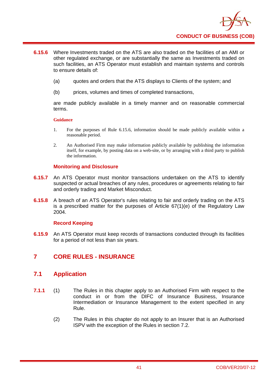

- **6.15.6** Where Investments traded on the ATS are also traded on the facilities of an AMI or other regulated exchange, or are substantially the same as Investments traded on such facilities, an ATS Operator must establish and maintain systems and controls to ensure details of:
	- (a) quotes and orders that the ATS displays to Clients of the system; and
	- (b) prices, volumes and times of completed transactions,

are made publicly available in a timely manner and on reasonable commercial terms.

#### **Guidance**

- 1. For the purposes of Rule 6.15.6, information should be made publicly available within a reasonable period.
- 2. An Authorised Firm may make information publicly available by publishing the information itself, for example, by posting data on a web-site, or by arranging with a third party to publish the information.

### **Monitoring and Disclosure**

- **6.15.7** An ATS Operator must monitor transactions undertaken on the ATS to identify suspected or actual breaches of any rules, procedures or agreements relating to fair and orderly trading and Market Misconduct.
- **6.15.8** A breach of an ATS Operator's rules relating to fair and orderly trading on the ATS is a prescribed matter for the purposes of Article 67(1)(e) of the Regulatory Law 2004.

### **Record Keeping**

**6.15.9** An ATS Operator must keep records of transactions conducted through its facilities for a period of not less than six years.

# **7 CORE RULES - INSURANCE**

# **7.1 Application**

- **7.1.1** (1) The Rules in this chapter apply to an Authorised Firm with respect to the conduct in or from the DIFC of Insurance Business, Insurance Intermediation or Insurance Management to the extent specified in any Rule.
	- (2) The Rules in this chapter do not apply to an Insurer that is an Authorised ISPV with the exception of the Rules in section 7.2.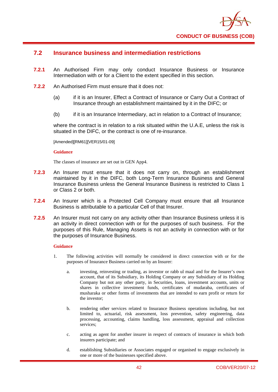

# **7.2 Insurance business and intermediation restrictions**

- **7.2.1** An Authorised Firm may only conduct Insurance Business or Insurance Intermediation with or for a Client to the extent specified in this section.
- **7.2.2** An Authorised Firm must ensure that it does not:
	- (a) if it is an Insurer, Effect a Contract of Insurance or Carry Out a Contract of Insurance through an establishment maintained by it in the DIFC; or
	- (b) if it is an Insurance Intermediary, act in relation to a Contract of Insurance;

where the contract is in relation to a risk situated within the U.A.E, unless the risk is situated in the DIFC, or the contract is one of re-insurance.

[Amended][RM61][VER15/01-09]

#### **Guidance**

The classes of insurance are set out in GEN App4.

- **7.2.3** An Insurer must ensure that it does not carry on, through an establishment maintained by it in the DIFC, both Long-Term Insurance Business and General Insurance Business unless the General Insurance Business is restricted to Class 1 or Class 2 or both.
- **7.2.4** An Insurer which is a Protected Cell Company must ensure that all Insurance Business is attributable to a particular Cell of that Insurer.
- **7.2.5** An Insurer must not carry on any activity other than Insurance Business unless it is an activity in direct connection with or for the purposes of such business. For the purposes of this Rule, Managing Assets is not an activity in connection with or for the purposes of Insurance Business.

- 1. The following activities will normally be considered in direct connection with or for the purposes of Insurance Business carried on by an Insurer:
	- a. investing, reinvesting or trading, as investor or rabb ul maal and for the Insurer's own account, that of its Subsidiary, its Holding Company or any Subsidiary of its Holding Company but not any other party, in Securities, loans, investment accounts, units or shares in collective investment funds, certificates of mudaraba, certificates of musharaka or other forms of investments that are intended to earn profit or return for the investor;
	- b. rendering other services related to Insurance Business operations including, but not limited to, actuarial, risk assessment, loss prevention, safety engineering, data processing, accounting, claims handling, loss assessment, appraisal and collection services<sup>.</sup>
	- c. acting as agent for another insurer in respect of contracts of insurance in which both insurers participate; and
	- d. establishing Subsidiaries or Associates engaged or organised to engage exclusively in one or more of the businesses specified above.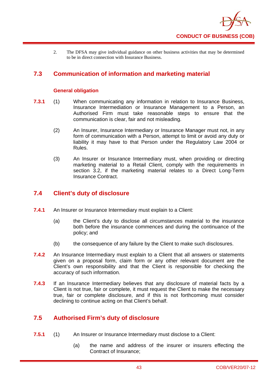

2. The DFSA may give individual guidance on other business activities that may be determined to be in direct connection with Insurance Business.

# **7.3 Communication of information and marketing material**

## **General obligation**

- **7.3.1** (1) When communicating any information in relation to Insurance Business, Insurance Intermediation or Insurance Management to a Person, an Authorised Firm must take reasonable steps to ensure that the communication is clear, fair and not misleading.
	- (2) An Insurer, Insurance Intermediary or Insurance Manager must not, in any form of communication with a Person, attempt to limit or avoid any duty or liability it may have to that Person under the Regulatory Law 2004 or Rules.
	- (3) An Insurer or Insurance Intermediary must, when providing or directing marketing material to a Retail Client, comply with the requirements in section 3.2, if the marketing material relates to a Direct Long-Term Insurance Contract.

# **7.4 Client's duty of disclosure**

- **7.4.1** An Insurer or Insurance Intermediary must explain to a Client:
	- (a) the Client's duty to disclose all circumstances material to the insurance both before the insurance commences and during the continuance of the policy; and
	- (b) the consequence of any failure by the Client to make such disclosures.
- **7.4.2** An Insurance Intermediary must explain to a Client that all answers or statements given on a proposal form, claim form or any other relevant document are the Client's own responsibility and that the Client is responsible for checking the accuracy of such information.
- **7.4.3** If an Insurance Intermediary believes that any disclosure of material facts by a Client is not true, fair or complete, it must request the Client to make the necessary true, fair or complete disclosure, and if this is not forthcoming must consider declining to continue acting on that Client's behalf.

# **7.5 Authorised Firm's duty of disclosure**

- **7.5.1** (1) An Insurer or Insurance Intermediary must disclose to a Client:
	- (a) the name and address of the insurer or insurers effecting the Contract of Insurance;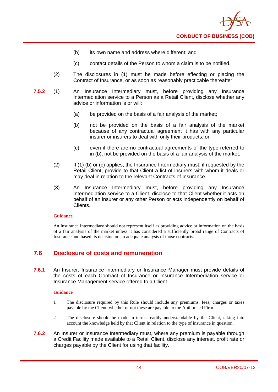

- (b) its own name and address where different; and
- (c) contact details of the Person to whom a claim is to be notified.
- (2) The disclosures in (1) must be made before effecting or placing the Contract of Insurance, or as soon as reasonably practicable thereafter.
- **7.5.2** (1) An Insurance Intermediary must, before providing any Insurance Intermediation service to a Person as a Retail Client, disclose whether any advice or information is or will:
	- (a) be provided on the basis of a fair analysis of the market;
	- (b) not be provided on the basis of a fair analysis of the market because of any contractual agreement it has with any particular insurer or insurers to deal with only their products; or
	- (c) even if there are no contractual agreements of the type referred to in (b), not be provided on the basis of a fair analysis of the market.
	- (2) If (1) (b) or (c) applies, the Insurance Intermediary must, if requested by the Retail Client, provide to that Client a list of insurers with whom it deals or may deal in relation to the relevant Contracts of Insurance.
	- (3) An Insurance Intermediary must, before providing any Insurance Intermediation service to a Client, disclose to that Client whether it acts on behalf of an insurer or any other Person or acts independently on behalf of Clients.

An Insurance Intermediary should not represent itself as providing advice or information on the basis of a fair analysis of the market unless it has considered a sufficiently broad range of Contracts of Insurance and based its decision on an adequate analysis of those contracts.

# **7.6 Disclosure of costs and remuneration**

**7.6.1** An Insurer, Insurance Intermediary or Insurance Manager must provide details of the costs of each Contract of Insurance or Insurance Intermediation service or Insurance Management service offered to a Client.

- 1 The disclosure required by this Rule should include any premiums, fees, charges or taxes payable by the Client, whether or not these are payable to the Authorised Firm.
- 2 The disclosure should be made in terms readily understandable by the Client, taking into account the knowledge held by that Client in relation to the type of insurance in question.
- **7.6.2** An Insurer or Insurance Intermediary must, where any premium is payable through a Credit Facility made available to a Retail Client, disclose any interest, profit rate or charges payable by the Client for using that facility.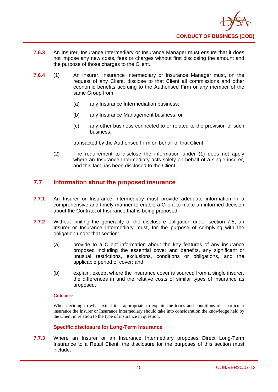

- **7.6.3** An Insurer, Insurance Intermediary or Insurance Manager must ensure that it does not impose any new costs, fees or charges without first disclosing the amount and the purpose of those charges to the Client.
- **7.6.4** (1) An Insurer, Insurance Intermediary or Insurance Manager must, on the request of any Client, disclose to that Client all commissions and other economic benefits accruing to the Authorised Firm or any member of the same Group from:
	- (a) any Insurance Intermediation business;
	- (b) any Insurance Management business; or
	- (c) any other business connected to or related to the provision of such business;

transacted by the Authorised Firm on behalf of that Client.

(2) The requirement to disclose the information under (1) does not apply where an Insurance Intermediary acts solely on behalf of a single insurer, and this fact has been disclosed to the Client.

# **7.7 Information about the proposed insurance**

- **7.7.1** An Insurer or Insurance Intermediary must provide adequate information in a comprehensive and timely manner to enable a Client to make an informed decision about the Contract of Insurance that is being proposed.
- **7.7.2** Without limiting the generality of the disclosure obligation under section 7.5, an Insurer or Insurance Intermediary must, for the purpose of complying with the obligation under that section:
	- (a) provide to a Client information about the key features of any insurance proposed including the essential cover and benefits, any significant or unusual restrictions, exclusions, conditions or obligations, and the applicable period of cover; and
	- (b) explain, except where the insurance cover is sourced from a single insurer, the differences in and the relative costs of similar types of insurance as proposed.

### **Guidance**

When deciding to what extent it is appropriate to explain the terms and conditions of a particular insurance the Insurer or Insurance Intermediary should take into consideration the knowledge held by the Client in relation to the type of insurance in question.

# **Specific disclosure for Long-Term Insurance**

**7.7.3** Where an Insurer or an Insurance Intermediary proposes Direct Long-Term Insurance to a Retail Client, the disclosure for the purposes of this section must include: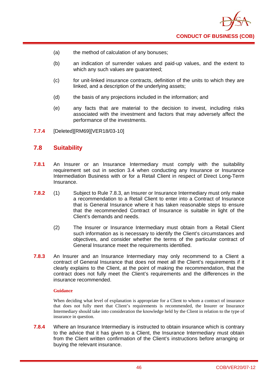

- (a) the method of calculation of any bonuses;
- (b) an indication of surrender values and paid-up values, and the extent to which any such values are guaranteed;
- (c) for unit-linked insurance contracts, definition of the units to which they are linked, and a description of the underlying assets;
- (d) the basis of any projections included in the information; and
- (e) any facts that are material to the decision to invest, including risks associated with the investment and factors that may adversely affect the performance of the investments.
- **7.7.4** [Deleted][RM69][VER18/03-10]

# **7.8 Suitability**

- **7.8.1** An Insurer or an Insurance Intermediary must comply with the suitability requirement set out in section 3.4 when conducting any Insurance or Insurance Intermediation Business with or for a Retail Client in respect of Direct Long-Term Insurance.
- **7.8.2** (1) Subject to Rule 7.8.3, an Insurer or Insurance Intermediary must only make a recommendation to a Retail Client to enter into a Contract of Insurance that is General Insurance where it has taken reasonable steps to ensure that the recommended Contract of Insurance is suitable in light of the Client's demands and needs.
	- (2) The Insurer or Insurance Intermediary must obtain from a Retail Client such information as is necessary to identify the Client's circumstances and objectives, and consider whether the terms of the particular contract of General Insurance meet the requirements identified.
- **7.8.3** An Insurer and an Insurance Intermediary may only recommend to a Client a contract of General Insurance that does not meet all the Client's requirements if it clearly explains to the Client, at the point of making the recommendation, that the contract does not fully meet the Client's requirements and the differences in the insurance recommended.

#### **Guidance**

When deciding what level of explanation is appropriate for a Client to whom a contract of insurance that does not fully meet that Client's requirements is recommended, the Insurer or Insurance Intermediary should take into consideration the knowledge held by the Client in relation to the type of insurance in question.

**7.8.4** Where an Insurance Intermediary is instructed to obtain insurance which is contrary to the advice that it has given to a Client, the Insurance Intermediary must obtain from the Client written confirmation of the Client's instructions before arranging or buying the relevant insurance.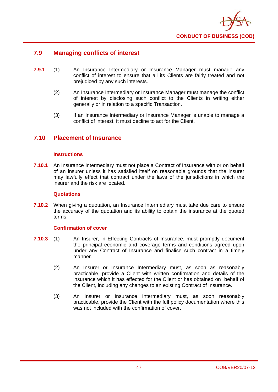

# **7.9 Managing conflicts of interest**

- **7.9.1** (1) An Insurance Intermediary or Insurance Manager must manage any conflict of interest to ensure that all its Clients are fairly treated and not prejudiced by any such interests.
	- (2) An Insurance Intermediary or Insurance Manager must manage the conflict of interest by disclosing such conflict to the Clients in writing either generally or in relation to a specific Transaction.
	- (3) If an Insurance Intermediary or Insurance Manager is unable to manage a conflict of interest, it must decline to act for the Client.

# **7.10 Placement of Insurance**

### **Instructions**

**7.10.1** An Insurance Intermediary must not place a Contract of Insurance with or on behalf of an insurer unless it has satisfied itself on reasonable grounds that the insurer may lawfully effect that contract under the laws of the jurisdictions in which the insurer and the risk are located.

#### **Quotations**

**7.10.2** When giving a quotation, an Insurance Intermediary must take due care to ensure the accuracy of the quotation and its ability to obtain the insurance at the quoted terms.

## **Confirmation of cover**

- **7.10.3** (1) An Insurer, in Effecting Contracts of Insurance, must promptly document the principal economic and coverage terms and conditions agreed upon under any Contract of Insurance and finalise such contract in a timely manner.
	- (2) An Insurer or Insurance Intermediary must, as soon as reasonably practicable, provide a Client with written confirmation and details of the insurance which it has effected for the Client or has obtained on behalf of the Client, including any changes to an existing Contract of Insurance.
	- (3) An Insurer or Insurance Intermediary must, as soon reasonably practicable, provide the Client with the full policy documentation where this was not included with the confirmation of cover.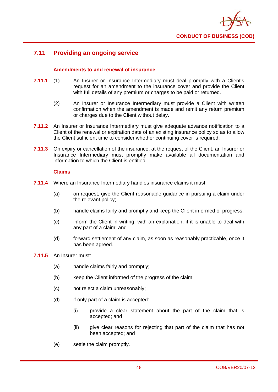

# **7.11 Providing an ongoing service**

## **Amendments to and renewal of insurance**

- **7.11.1** (1) An Insurer or Insurance Intermediary must deal promptly with a Client's request for an amendment to the insurance cover and provide the Client with full details of any premium or charges to be paid or returned.
	- (2) An Insurer or Insurance Intermediary must provide a Client with written confirmation when the amendment is made and remit any return premium or charges due to the Client without delay.
- **7.11.2** An Insurer or Insurance Intermediary must give adequate advance notification to a Client of the renewal or expiration date of an existing insurance policy so as to allow the Client sufficient time to consider whether continuing cover is required.
- **7.11.3** On expiry or cancellation of the insurance, at the request of the Client, an Insurer or Insurance Intermediary must promptly make available all documentation and information to which the Client is entitled.

## **Claims**

- **7.11.4** Where an Insurance Intermediary handles insurance claims it must:
	- (a) on request, give the Client reasonable guidance in pursuing a claim under the relevant policy;
	- (b) handle claims fairly and promptly and keep the Client informed of progress;
	- (c) inform the Client in writing, with an explanation, if it is unable to deal with any part of a claim; and
	- (d) forward settlement of any claim, as soon as reasonably practicable, once it has been agreed.
- **7.11.5** An Insurer must:
	- (a) handle claims fairly and promptly;
	- (b) keep the Client informed of the progress of the claim;
	- (c) not reject a claim unreasonably;
	- (d) if only part of a claim is accepted:
		- (i) provide a clear statement about the part of the claim that is accepted; and
		- (ii) give clear reasons for rejecting that part of the claim that has not been accepted; and
	- (e) settle the claim promptly.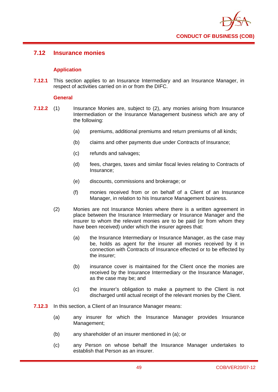

# **7.12 Insurance monies**

# **Application**

**7.12.1** This section applies to an Insurance Intermediary and an Insurance Manager, in respect of activities carried on in or from the DIFC.

## **General**

- **7.12.2** (1) Insurance Monies are, subject to (2), any monies arising from Insurance Intermediation or the Insurance Management business which are any of the following:
	- (a) premiums, additional premiums and return premiums of all kinds;
	- (b) claims and other payments due under Contracts of Insurance;
	- (c) refunds and salvages;
	- (d) fees, charges, taxes and similar fiscal levies relating to Contracts of Insurance;
	- (e) discounts, commissions and brokerage; or
	- (f) monies received from or on behalf of a Client of an Insurance Manager, in relation to his Insurance Management business.
	- (2) Monies are not Insurance Monies where there is a written agreement in place between the Insurance Intermediary or Insurance Manager and the insurer to whom the relevant monies are to be paid (or from whom they have been received) under which the insurer agrees that:
		- (a) the Insurance Intermediary or Insurance Manager, as the case may be, holds as agent for the insurer all monies received by it in connection with Contracts of Insurance effected or to be effected by the insurer;
		- (b) insurance cover is maintained for the Client once the monies are received by the Insurance Intermediary or the Insurance Manager, as the case may be; and
		- (c) the insurer's obligation to make a payment to the Client is not discharged until actual receipt of the relevant monies by the Client.
- **7.12.3** In this section, a Client of an Insurance Manager means:
	- (a) any insurer for which the Insurance Manager provides Insurance Management;
	- (b) any shareholder of an insurer mentioned in (a); or
	- (c) any Person on whose behalf the Insurance Manager undertakes to establish that Person as an insurer.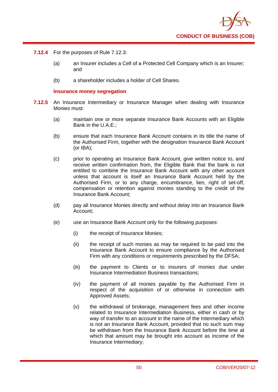- **7.12.4** For the purposes of Rule 7.12.3:
	- (a) an Insurer includes a Cell of a Protected Cell Company which is an Insurer; and
	- (b) a shareholder includes a holder of Cell Shares.

#### **Insurance money segregation**

- **7.12.5** An Insurance Intermediary or Insurance Manager when dealing with Insurance Monies must:
	- (a) maintain one or more separate Insurance Bank Accounts with an Eligible Bank in the U.A.E.;
	- (b) ensure that each Insurance Bank Account contains in its title the name of the Authorised Firm, together with the designation Insurance Bank Account (or IBA);
	- (c) prior to operating an Insurance Bank Account, give written notice to, and receive written confirmation from, the Eligible Bank that the bank is not entitled to combine the Insurance Bank Account with any other account unless that account is itself an Insurance Bank Account held by the Authorised Firm, or to any charge, encumbrance, lien, right of set-off, compensation or retention against monies standing to the credit of the Insurance Bank Account;
	- (d) pay all Insurance Monies directly and without delay into an Insurance Bank Account;
	- (e) use an Insurance Bank Account only for the following purposes:
		- (i) the receipt of Insurance Monies;
		- (ii) the receipt of such monies as may be required to be paid into the Insurance Bank Account to ensure compliance by the Authorised Firm with any conditions or requirements prescribed by the DFSA;
		- (iii) the payment to Clients or to insurers of monies due under Insurance Intermediation Business transactions;
		- (iv) the payment of all monies payable by the Authorised Firm in respect of the acquisition of or otherwise in connection with Approved Assets;
		- (v) the withdrawal of brokerage, management fees and other income related to Insurance Intermediation Business, either in cash or by way of transfer to an account in the name of the Intermediary which is not an Insurance Bank Account, provided that no such sum may be withdrawn from the Insurance Bank Account before the time at which that amount may be brought into account as income of the Insurance Intermediary;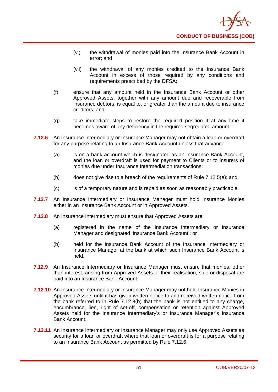

- (vi) the withdrawal of monies paid into the Insurance Bank Account in error; and
- (vii) the withdrawal of any monies credited to the Insurance Bank Account in excess of those required by any conditions and requirements prescribed by the DFSA;
- (f) ensure that any amount held in the Insurance Bank Account or other Approved Assets, together with any amount due and recoverable from insurance debtors, is equal to, or greater than the amount due to insurance creditors; and
- (g) take immediate steps to restore the required position if at any time it becomes aware of any deficiency in the required segregated amount.
- **7.12.6** An Insurance Intermediary or Insurance Manager may not obtain a loan or overdraft for any purpose relating to an Insurance Bank Account unless that advance:
	- (a) is on a bank account which is designated as an Insurance Bank Account, and the loan or overdraft is used for payment to Clients or to insurers of monies due under Insurance Intermediation transactions;
	- (b) does not give rise to a breach of the requirements of Rule 7.12.5(e); and
	- (c) is of a temporary nature and is repaid as soon as reasonably practicable.
- **7.12.7** An Insurance Intermediary or Insurance Manager must hold Insurance Monies either in an Insurance Bank Account or in Approved Assets.
- **7.12.8** An Insurance Intermediary must ensure that Approved Assets are:
	- (a) registered in the name of the Insurance Intermediary or Insurance Manager and designated 'Insurance Bank Account'; or
	- (b) held for the Insurance Bank Account of the Insurance Intermediary or Insurance Manager at the bank at which such Insurance Bank Account is held.
- **7.12.9** An Insurance Intermediary or Insurance Manager must ensure that monies, other than interest, arising from Approved Assets or their realisation, sale or disposal are paid into an Insurance Bank Account.
- **7.12.10** An Insurance Intermediary or Insurance Manager may not hold Insurance Monies in Approved Assets until it has given written notice to and received written notice from the bank referred to in Rule 7.12.8(b) that the bank is not entitled to any charge, encumbrance, lien, right of set-off, compensation or retention against Approved Assets held for the Insurance Intermediary's or Insurance Manager's Insurance Bank Account.
- **7.12.11** An Insurance Intermediary or Insurance Manager may only use Approved Assets as security for a loan or overdraft where that loan or overdraft is for a purpose relating to an Insurance Bank Account as permitted by Rule 7.12.6.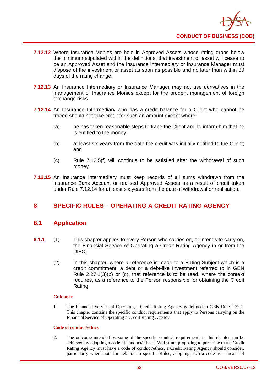

- **7.12.12** Where Insurance Monies are held in Approved Assets whose rating drops below the minimum stipulated within the definitions, that investment or asset will cease to be an Approved Asset and the Insurance Intermediary or Insurance Manager must dispose of the investment or asset as soon as possible and no later than within 30 days of the rating change.
- **7.12.13** An Insurance Intermediary or Insurance Manager may not use derivatives in the management of Insurance Monies except for the prudent management of foreign exchange risks.
- **7.12.14** An Insurance Intermediary who has a credit balance for a Client who cannot be traced should not take credit for such an amount except where:
	- (a) he has taken reasonable steps to trace the Client and to inform him that he is entitled to the money;
	- (b) at least six years from the date the credit was initially notified to the Client; and
	- (c) Rule 7.12.5(f) will continue to be satisfied after the withdrawal of such money.
- **7.12.15** An Insurance Intermediary must keep records of all sums withdrawn from the Insurance Bank Account or realised Approved Assets as a result of credit taken under Rule 7.12.14 for at least six years from the date of withdrawal or realisation.

# **8 SPECIFIC RULES – OPERATING A CREDIT RATING AGENCY**

# **8.1 Application**

- **8.1.1** (1) This chapter applies to every Person who carries on, or intends to carry on, the Financial Service of Operating a Credit Rating Agency in or from the DIFC.
	- (2) In this chapter, where a reference is made to a Rating Subject which is a credit commitment, a debt or a debt-like Investment referred to in GEN Rule 2.27.1(3)(b) or (c), that reference is to be read, where the context requires, as a reference to the Person responsible for obtaining the Credit Rating.

### **Guidance**

1. The Financial Service of Operating a Credit Rating Agency is defined in GEN Rule 2.27.1. This chapter contains the specific conduct requirements that apply to Persons carrying on the Financial Service of Operating a Credit Rating Agency.

#### **Code of conduct/ethics**

2. The outcome intended by some of the specific conduct requirements in this chapter can be achieved by adopting a code of conduct/ethics. Whilst not proposing to prescribe that a Credit Rating Agency must have a code of conduct/ethics, a Credit Rating Agency should consider, particularly where noted in relation to specific Rules, adopting such a code as a means of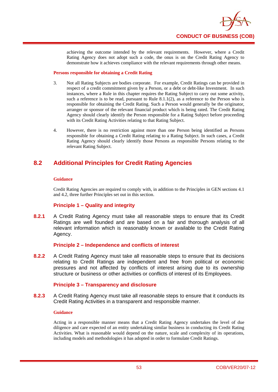

achieving the outcome intended by the relevant requirements. However, where a Credit Rating Agency does not adopt such a code, the onus is on the Credit Rating Agency to demonstrate how it achieves compliance with the relevant requirements through other means.

#### **Persons responsible for obtaining a Credit Rating**

- 3. Not all Rating Subjects are bodies corporate. For example, Credit Ratings can be provided in respect of a credit commitment given by a Person, or a debt or debt-like Investment. In such instances, where a Rule in this chapter requires the Rating Subject to carry out some activity, such a reference is to be read, pursuant to Rule 8.1.1(2), as a reference to the Person who is responsible for obtaining the Credit Rating. Such a Person would generally be the originator, arranger or sponsor of the relevant financial product which is being rated. The Credit Rating Agency should clearly identify the Person responsible for a Rating Subject before proceeding with its Credit Rating Activities relating to that Rating Subject.
- 4. However, there is no restriction against more than one Person being identified as Persons responsible for obtaining a Credit Rating relating to a Rating Subject. In such cases, a Credit Rating Agency should clearly identify those Persons as responsible Persons relating to the relevant Rating Subject.

# **8.2 Additional Principles for Credit Rating Agencies**

### **Guidance**

Credit Rating Agencies are required to comply with, in addition to the Principles in GEN sections 4.1 and 4.2, three further Principles set out in this section.

# **Principle 1 – Quality and integrity**

**8.2.1** A Credit Rating Agency must take all reasonable steps to ensure that its Credit Ratings are well founded and are based on a fair and thorough analysis of all relevant information which is reasonably known or available to the Credit Rating Agency.

### **Principle 2 – Independence and conflicts of interest**

**8.2.2** A Credit Rating Agency must take all reasonable steps to ensure that its decisions relating to Credit Ratings are independent and free from political or economic pressures and not affected by conflicts of interest arising due to its ownership structure or business or other activities or conflicts of interest of its Employees.

# **Principle 3 – Transparency and disclosure**

**8.2.3** A Credit Rating Agency must take all reasonable steps to ensure that it conducts its Credit Rating Activities in a transparent and responsible manner.

#### **Guidance**

Acting in a responsible manner means that a Credit Rating Agency undertakes the level of due diligence and care expected of an entity undertaking similar business in conducting its Credit Rating Activities. What is reasonable would depend on the nature, scale and complexity of its operations, including models and methodologies it has adopted in order to formulate Credit Ratings.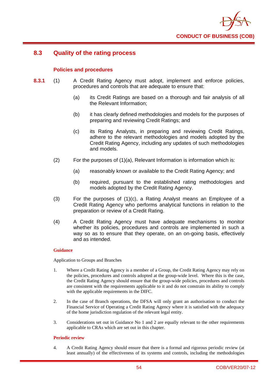

# **8.3 Quality of the rating process**

## **Policies and procedures**

- **8.3.1** (1) A Credit Rating Agency must adopt, implement and enforce policies, procedures and controls that are adequate to ensure that:
	- (a) its Credit Ratings are based on a thorough and fair analysis of all the Relevant Information;
	- (b) it has clearly defined methodologies and models for the purposes of preparing and reviewing Credit Ratings; and
	- (c) its Rating Analysts, in preparing and reviewing Credit Ratings, adhere to the relevant methodologies and models adopted by the Credit Rating Agency, including any updates of such methodologies and models.
	- (2) For the purposes of (1)(a), Relevant Information is information which is:
		- (a) reasonably known or available to the Credit Rating Agency; and
		- (b) required, pursuant to the established rating methodologies and models adopted by the Credit Rating Agency.
	- (3) For the purposes of (1)(c), a Rating Analyst means an Employee of a Credit Rating Agency who performs analytical functions in relation to the preparation or review of a Credit Rating.
	- (4) A Credit Rating Agency must have adequate mechanisms to monitor whether its policies, procedures and controls are implemented in such a way so as to ensure that they operate, on an on-going basis, effectively and as intended.

#### **Guidance**

Application to Groups and Branches

- 1. Where a Credit Rating Agency is a member of a Group, the Credit Rating Agency may rely on the policies, procedures and controls adopted at the group-wide level. Where this is the case, the Credit Rating Agency should ensure that the group-wide policies, procedures and controls are consistent with the requirements applicable to it and do not constrain its ability to comply with the applicable requirements in the DIFC.
- 2. In the case of Branch operations, the DFSA will only grant an authorisation to conduct the Financial Service of Operating a Credit Rating Agency where it is satisfied with the adequacy of the home jurisdiction regulation of the relevant legal entity.
- 3. Considerations set out in Guidance No 1 and 2 are equally relevant to the other requirements applicable to CRAs which are set out in this chapter.

#### **Periodic review**

4. A Credit Rating Agency should ensure that there is a formal and rigorous periodic review (at least annually) of the effectiveness of its systems and controls, including the methodologies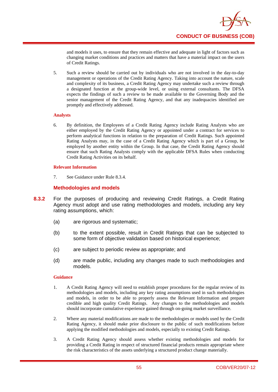

and models it uses, to ensure that they remain effective and adequate in light of factors such as changing market conditions and practices and matters that have a material impact on the users of Credit Ratings.

5. Such a review should be carried out by individuals who are not involved in the day-to-day management or operations of the Credit Rating Agency. Taking into account the nature, scale and complexity of its business, a Credit Rating Agency may undertake such a review through a designated function at the group-wide level, or using external consultants. The DFSA expects the findings of such a review to be made available to the Governing Body and the senior management of the Credit Rating Agency, and that any inadequacies identified are promptly and effectively addressed.

### **Analysts**

6. By definition, the Employees of a Credit Rating Agency include Rating Analysts who are either employed by the Credit Rating Agency or appointed under a contract for services to perform analytical functions in relation to the preparation of Credit Ratings. Such appointed Rating Analysts may, in the case of a Credit Rating Agency which is part of a Group, be employed by another entity within the Group. In that case, the Credit Rating Agency should ensure that such Rating Analysts comply with the applicable DFSA Rules when conducting Credit Rating Activities on its behalf.

#### **Relevant Information**

7. See Guidance under Rule 8.3.4.

## **Methodologies and models**

- **8.3.2** For the purposes of producing and reviewing Credit Ratings, a Credit Rating Agency must adopt and use rating methodologies and models, including any key rating assumptions, which:
	- (a) are rigorous and systematic;
	- (b) to the extent possible, result in Credit Ratings that can be subjected to some form of objective validation based on historical experience;
	- (c) are subject to periodic review as appropriate; and
	- (d) are made public, including any changes made to such methodologies and models.

- 1. A Credit Rating Agency will need to establish proper procedures for the regular review of its methodologies and models, including any key rating assumptions used in such methodologies and models, in order to be able to properly assess the Relevant Information and prepare credible and high quality Credit Ratings. Any changes to the methodologies and models should incorporate cumulative experience gained through on-going market surveillance.
- 2. Where any material modifications are made to the methodologies or models used by the Credit Rating Agency, it should make prior disclosure to the public of such modifications before applying the modified methodologies and models, especially to existing Credit Ratings.
- 3. A Credit Rating Agency should assess whether existing methodologies and models for providing a Credit Rating in respect of structured financial products remain appropriate where the risk characteristics of the assets underlying a structured product change materially.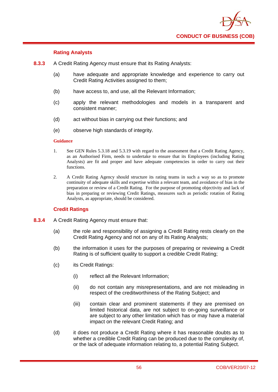

## **Rating Analysts**

- **8.3.3** A Credit Rating Agency must ensure that its Rating Analysts:
	- (a) have adequate and appropriate knowledge and experience to carry out Credit Rating Activities assigned to them;
	- (b) have access to, and use, all the Relevant Information;
	- (c) apply the relevant methodologies and models in a transparent and consistent manner;
	- (d) act without bias in carrying out their functions; and
	- (e) observe high standards of integrity.

#### **Guidance**

- 1. See GEN Rules 5.3.18 and 5.3.19 with regard to the assessment that a Credit Rating Agency, as an Authorised Firm, needs to undertake to ensure that its Employees (including Rating Analysts) are fit and proper and have adequate competencies in order to carry out their functions.
- 2. A Credit Rating Agency should structure its rating teams in such a way so as to promote continuity of adequate skills and expertise within a relevant team, and avoidance of bias in the preparation or review of a Credit Rating. For the purpose of promoting objectivity and lack of bias in preparing or reviewing Credit Ratings, measures such as periodic rotation of Rating Analysts, as appropriate, should be considered.

### **Credit Ratings**

- **8.3.4** A Credit Rating Agency must ensure that:
	- (a) the role and responsibility of assigning a Credit Rating rests clearly on the Credit Rating Agency and not on any of its Rating Analysts;
	- (b) the information it uses for the purposes of preparing or reviewing a Credit Rating is of sufficient quality to support a credible Credit Rating;
	- (c) its Credit Ratings:
		- (i) reflect all the Relevant Information;
		- (ii) do not contain any misrepresentations, and are not misleading in respect of the creditworthiness of the Rating Subject; and
		- (iii) contain clear and prominent statements if they are premised on limited historical data, are not subject to on-going surveillance or are subject to any other limitation which has or may have a material impact on the relevant Credit Rating; and
	- (d) it does not produce a Credit Rating where it has reasonable doubts as to whether a credible Credit Rating can be produced due to the complexity of, or the lack of adequate information relating to, a potential Rating Subject.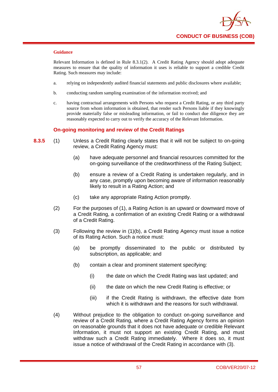

Relevant Information is defined in Rule 8.3.1(2). A Credit Rating Agency should adopt adequate measures to ensure that the quality of information it uses is reliable to support a credible Credit Rating. Such measures may include:

- a. relying on independently audited financial statements and public disclosures where available;
- b. conducting random sampling examination of the information received; and
- c. having contractual arrangements with Persons who request a Credit Rating, or any third party source from whom information is obtained, that render such Persons liable if they knowingly provide materially false or misleading information, or fail to conduct due diligence they are reasonably expected to carry out to verify the accuracy of the Relevant Information.

## **On-going monitoring and review of the Credit Ratings**

- **8.3.5** (1) Unless a Credit Rating clearly states that it will not be subject to on-going review, a Credit Rating Agency must:
	- (a) have adequate personnel and financial resources committed for the on-going surveillance of the creditworthiness of the Rating Subject;
	- (b) ensure a review of a Credit Rating is undertaken regularly, and in any case, promptly upon becoming aware of information reasonably likely to result in a Rating Action; and
	- (c) take any appropriate Rating Action promptly.
	- (2) For the purposes of (1), a Rating Action is an upward or downward move of a Credit Rating, a confirmation of an existing Credit Rating or a withdrawal of a Credit Rating.
	- (3) Following the review in (1)(b), a Credit Rating Agency must issue a notice of its Rating Action. Such a notice must:
		- (a) be promptly disseminated to the public or distributed by subscription, as applicable; and
		- (b) contain a clear and prominent statement specifying:
			- (i) the date on which the Credit Rating was last updated; and
			- (ii) the date on which the new Credit Rating is effective; or
			- (iii) if the Credit Rating is withdrawn, the effective date from which it is withdrawn and the reasons for such withdrawal.
	- (4) Without prejudice to the obligation to conduct on-going surveillance and review of a Credit Rating, where a Credit Rating Agency forms an opinion on reasonable grounds that it does not have adequate or credible Relevant Information, it must not support an existing Credit Rating, and must withdraw such a Credit Rating immediately. Where it does so, it must issue a notice of withdrawal of the Credit Rating in accordance with (3).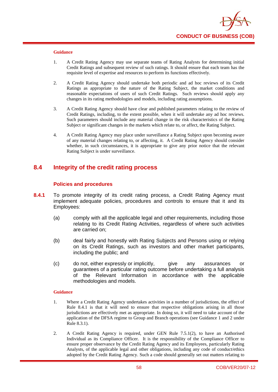

- 1. A Credit Rating Agency may use separate teams of Rating Analysts for determining initial Credit Ratings and subsequent review of such ratings. It should ensure that each team has the requisite level of expertise and resources to perform its functions effectively.
- 2. A Credit Rating Agency should undertake both periodic and ad hoc reviews of its Credit Ratings as appropriate to the nature of the Rating Subject, the market conditions and reasonable expectations of users of such Credit Ratings. Such reviews should apply any changes in its rating methodologies and models, including rating assumptions.
- 3. A Credit Rating Agency should have clear and published parameters relating to the review of Credit Ratings, including, to the extent possible, when it will undertake any ad hoc reviews. Such parameters should include any material change in the risk characteristics of the Rating Subject or significant changes in the markets which relate to, or affect, the Rating Subject.
- 4. A Credit Rating Agency may place under surveillance a Rating Subject upon becoming aware of any material changes relating to, or affecting, it. A Credit Rating Agency should consider whether, in such circumstances, it is appropriate to give any prior notice that the relevant Rating Subject is under surveillance.

# **8.4 Integrity of the credit rating process**

### **Polic**i**es and procedures**

- **8.4.1** To promote integrity of its credit rating process, a Credit Rating Agency must implement adequate policies, procedures and controls to ensure that it and its Employees:
	- (a) comply with all the applicable legal and other requirements, including those relating to its Credit Rating Activities, regardless of where such activities are carried on;
	- (b) deal fairly and honestly with Rating Subjects and Persons using or relying on its Credit Ratings, such as investors and other market participants, including the public; and
	- (c) do not, either expressly or implicitly, give any assurances or guarantees of a particular rating outcome before undertaking a full analysis of the Relevant Information in accordance with the applicable methodologies and models.

- 1. Where a Credit Rating Agency undertakes activities in a number of jurisdictions, the effect of Rule 8.4.1 is that it will need to ensure that respective obligations arising in all those jurisdictions are effectively met as appropriate. In doing so, it will need to take account of the application of the DFSA regime to Group and Branch operations (see Guidance 1 and 2 under Rule 8.3.1).
- 2. A Credit Rating Agency is required, under GEN Rule 7.5.1(2), to have an Authorised Individual as its Compliance Officer. It is the responsibility of the Compliance Officer to ensure proper observance by the Credit Rating Agency and its Employees, particularly Rating Analysts, of the applicable legal and other obligations, including any code of conduct/ethics adopted by the Credit Rating Agency. Such a code should generally set out matters relating to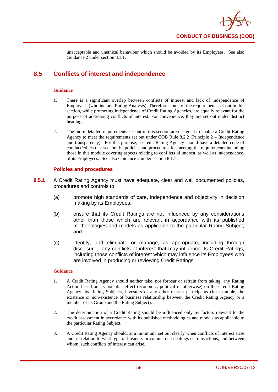

unacceptable and unethical behaviour which should be avoided by its Employees. See also Guidance 2 under section 8.1.1.

# **8.5 Conflicts of interest and independence**

### **Guidance**

- 1. There is a significant overlap between conflicts of interest and lack of independence of Employees (who include Rating Analysts). Therefore, some of the requirements set out in this section, while promoting independence of Credit Rating Agencies, are equally relevant for the purpose of addressing conflicts of interest. For convenience, they are set out under distinct headings.
- 2. The more detailed requirements set out in this section are designed to enable a Credit Rating Agency to meet the requirements set out under COB Rule 8.2.2 (Principle 2 – Independence and transparency). For this purpose, a Credit Rating Agency should have a detailed code of conduct/ethics that sets out its policies and procedures for meeting the requirements including those in this module covering aspects relating to conflicts of interest, as well as independence, of its Employees. See also Guidance 2 under section 8.1.1.

# **Policies and procedures**

- **8.5.1** A Credit Rating Agency must have adequate, clear and well documented policies, procedures and controls to:
	- (a) promote high standards of care, independence and objectivity in decision making by its Employees;
	- (b) ensure that its Credit Ratings are not influenced by any considerations other than those which are relevant in accordance with its published methodologies and models as applicable to the particular Rating Subject; and
	- (c) identify, and eliminate or manage, as appropriate, including through disclosure, any conflicts of interest that may influence its Credit Ratings, including those conflicts of interest which may influence its Employees who are involved in producing or reviewing Credit Ratings.

- 1. A Credit Rating Agency should neither take, nor forbear or refrain from taking, any Rating Action based on its potential effect (economic, political or otherwise) on the Credit Rating Agency, its Rating Subjects, investors or any other market participants (for example, the existence or non-existence of business relationship between the Credit Rating Agency or a member of its Group and the Rating Subject).
- 2. The determination of a Credit Rating should be influenced only by factors relevant to the credit assessment in accordance with its published methodologies and models as applicable to the particular Rating Subject.
- 3. A Credit Rating Agency should, at a minimum, set out clearly when conflicts of interest arise and, in relation to what type of business or commercial dealings or transactions, and between whom, such conflicts of interest can arise.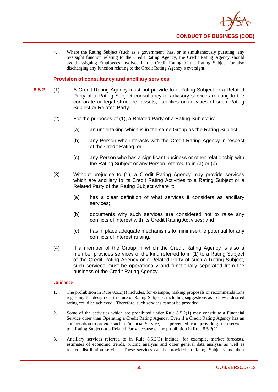

4. Where the Rating Subject (such as a government) has, or is simultaneously pursuing, any oversight function relating to the Credit Rating Agency, the Credit Rating Agency should avoid assigning Employees involved in the Credit Rating of the Rating Subject for also discharging any function relating to the Credit Rating Agency's oversight.

## **Provision of consultancy and ancillary services**

- **8.5.2** (1) A Credit Rating Agency must not provide to a Rating Subject or a Related Party of a Rating Subject consultancy or advisory services relating to the corporate or legal structure, assets, liabilities or activities of such Rating Subject or Related Party.
	- (2) For the purposes of (1), a Related Party of a Rating Subject is:
		- (a) an undertaking which is in the same Group as the Rating Subject;
		- (b) any Person who interacts with the Credit Rating Agency in respect of the Credit Rating; or
		- (c) any Person who has a significant business or other relationship with the Rating Subject or any Person referred to in (a) or (b).
	- (3) Without prejudice to (1), a Credit Rating Agency may provide services which are ancillary to its Credit Rating Activities to a Rating Subject or a Related Party of the Rating Subject where it:
		- (a) has a clear definition of what services it considers as ancillary services;
		- (b) documents why such services are considered not to raise any conflicts of interest with its Credit Rating Activities; and
		- (c) has in place adequate mechanisms to minimise the potential for any conflicts of interest arising.
	- (4) If a member of the Group in which the Credit Rating Agency is also a member provides services of the kind referred to in (1) to a Rating Subject of the Credit Rating Agency or a Related Party of such a Rating Subject, such services must be operationally and functionally separated from the business of the Credit Rating Agency.

- 1. The prohibition in Rule 8.5.2(1) includes, for example, making proposals or recommendations regarding the design or structure of Rating Subjects, including suggestions as to how a desired rating could be achieved. Therefore, such services cannot be provided.
- 2. Some of the activities which are prohibited under Rule 8.5.2(1) may constitute a Financial Service other than Operating a Credit Rating Agency. Even if a Credit Rating Agency has an authorisation to provide such a Financial Service, it is prevented from providing such services to a Rating Subject or a Related Party because of the prohibition in Rule 8.5.2(1).
- 3. Ancillary services referred to in Rule 8.5.2(3) include, for example, market forecasts, estimates of economic trends, pricing analysis and other general data analysis as well as related distribution services. These services can be provided to Rating Subjects and their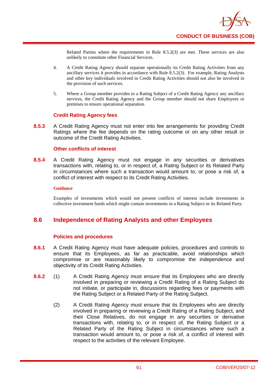

Related Parties where the requirements in Rule 8.5.2(3) are met. These services are also unlikely to constitute other Financial Services.

- 4. A Credit Rating Agency should separate operationally its Credit Rating Activities from any ancillary services it provides in accordance with Rule 8.5.2(3). For example, Rating Analysts and other key individuals involved in Credit Rating Activities should not also be involved in the provision of such services.
- 5. Where a Group member provides to a Rating Subject of a Credit Rating Agency any ancillary services, the Credit Rating Agency and the Group member should not share Employees or premises to ensure operational separation.

### **Credit Rating Agency fees**

**8.5.3** A Credit Rating Agency must not enter into fee arrangements for providing Credit Ratings where the fee depends on the rating outcome or on any other result or outcome of the Credit Rating Activities.

### **Other conflicts of interest**

**8.5.4** A Credit Rating Agency must not engage in any securities or derivatives transactions with, relating to, or in respect of, a Rating Subject or its Related Party in circumstances where such a transaction would amount to, or pose a risk of, a conflict of interest with respect to its Credit Rating Activities.

#### **Guidance**

Examples of investments which would not present conflicts of interest include investments in collective investment funds which might contain investments in a Rating Subject or its Related Party.

# **8.6 Independence of Rating Analysts and other Employees**

### **Policies and procedures**

- **8.6.1** A Credit Rating Agency must have adequate policies, procedures and controls to ensure that its Employees, as far as practicable, avoid relationships which compromise or are reasonably likely to compromise the independence and objectivity of its Credit Rating Activities.
- **8.6.2** (1) A Credit Rating Agency must ensure that its Employees who are directly involved in preparing or reviewing a Credit Rating of a Rating Subject do not initiate, or participate in, discussions regarding fees or payments with the Rating Subject or a Related Party of the Rating Subject.
	- (2) A Credit Rating Agency must ensure that its Employees who are directly involved in preparing or reviewing a Credit Rating of a Rating Subject, and their Close Relatives, do not engage in any securities or derivative transactions with, relating to, or in respect of, the Rating Subject or a Related Party of the Rating Subject in circumstances where such a transaction would amount to, or pose a risk of, a conflict of interest with respect to the activities of the relevant Employee.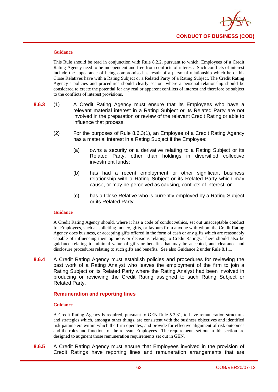

This Rule should be read in conjunction with Rule 8.2.2, pursuant to which, Employees of a Credit Rating Agency need to be independent and free from conflicts of interest. Such conflicts of interest include the appearance of being compromised as result of a personal relationship which he or his Close Relatives have with a Rating Subject or a Related Party of a Rating Subject. The Credit Rating Agency's policies and procedures should clearly set out where a personal relationship should be considered to create the potential for any real or apparent conflicts of interest and therefore be subject to the conflicts of interest provisions.

- **8.6.3** (1) A Credit Rating Agency must ensure that its Employees who have a relevant material interest in a Rating Subject or its Related Party are not involved in the preparation or review of the relevant Credit Rating or able to influence that process.
	- (2) For the purposes of Rule 8.6.3(1), an Employee of a Credit Rating Agency has a material interest in a Rating Subject if the Employee:
		- (a) owns a security or a derivative relating to a Rating Subject or its Related Party, other than holdings in diversified collective investment funds;
		- (b) has had a recent employment or other significant business relationship with a Rating Subject or its Related Party which may cause, or may be perceived as causing, conflicts of interest; or
		- (c) has a Close Relative who is currently employed by a Rating Subject or its Related Party.

#### **Guidance**

A Credit Rating Agency should, where it has a code of conduct/ethics, set out unacceptable conduct for Employees, such as soliciting money, gifts, or favours from anyone with whom the Credit Rating Agency does business, or accepting gifts offered in the form of cash or any gifts which are reasonably capable of influencing their opinions or decisions relating to Credit Ratings. There should also be guidance relating to minimal value of gifts or benefits that may be accepted, and clearance and disclosure procedures relating to such gifts and benefits. See also Guidance 2 under Rule 8.1.1.

**8.6.4** A Credit Rating Agency must establish policies and procedures for reviewing the past work of a Rating Analyst who leaves the employment of the firm to join a Rating Subject or its Related Party where the Rating Analyst had been involved in producing or reviewing the Credit Rating assigned to such Rating Subject or Related Party.

### **Remuneration and reporting lines**

#### **Guidance**

A Credit Rating Agency is required, pursuant to GEN Rule 5.3.31, to have remuneration structures and strategies which, amongst other things, are consistent with the business objectives and identified risk parameters within which the firm operates, and provide for effective alignment of risk outcomes and the roles and functions of the relevant Employees. The requirements set out in this section are designed to augment those remuneration requirements set out in GEN.

**8.6.5** A Credit Rating Agency must ensure that Employees involved in the provision of Credit Ratings have reporting lines and remuneration arrangements that are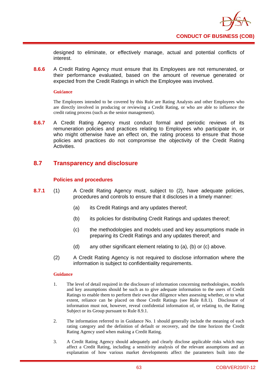

designed to eliminate, or effectively manage, actual and potential conflicts of interest.

**8.6.6** A Credit Rating Agency must ensure that its Employees are not remunerated, or their performance evaluated, based on the amount of revenue generated or expected from the Credit Ratings in which the Employee was involved.

#### **Gui**d**ance**

The Employees intended to be covered by this Rule are Rating Analysts and other Employees who are directly involved in producing or reviewing a Credit Rating, or who are able to influence the credit rating process (such as the senior management).

**8.6.7** A Credit Rating Agency must conduct formal and periodic reviews of its remuneration policies and practices relating to Employees who participate in, or who might otherwise have an effect on, the rating process to ensure that those policies and practices do not compromise the objectivity of the Credit Rating **Activities** 

# **8.7 Transparency and disclosure**

## **Policies and procedures**

- **8.7.1** (1) A Credit Rating Agency must, subject to (2), have adequate policies, procedures and controls to ensure that it discloses in a timely manner:
	- (a) its Credit Ratings and any updates thereof;
	- (b) its policies for distributing Credit Ratings and updates thereof;
	- (c) the methodologies and models used and key assumptions made in preparing its Credit Ratings and any updates thereof; and
	- (d) any other significant element relating to (a), (b) or (c) above.
	- (2) A Credit Rating Agency is not required to disclose information where the information is subject to confidentiality requirements.

- 1. The level of detail required in the disclosure of information concerning methodologies, models and key assumptions should be such as to give adequate information to the users of Credit Ratings to enable them to perform their own due diligence when assessing whether, or to what extent, reliance can be placed on those Credit Ratings (see Rule 8.8.1). Disclosure of information must not, however, reveal confidential information of, or relating to, the Rating Subject or its Group pursuant to Rule 8.9.1.
- 2. The information referred to in Guidance No. 1 should generally include the meaning of each rating category and the definition of default or recovery, and the time horizon the Credit Rating Agency used when making a Credit Rating.
- 3. A Credit Rating Agency should adequately and clearly disclose applicable risks which may affect a Credit Rating, including a sensitivity analysis of the relevant assumptions and an explanation of how various market developments affect the parameters built into the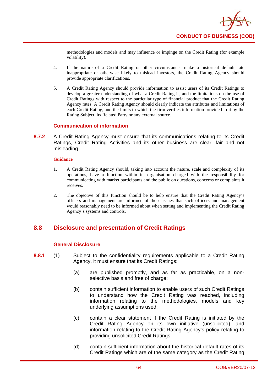

methodologies and models and may influence or impinge on the Credit Rating (for example volatility).

- 4. If the nature of a Credit Rating or other circumstances make a historical default rate inappropriate or otherwise likely to mislead investors, the Credit Rating Agency should provide appropriate clarifications.
- 5. A Credit Rating Agency should provide information to assist users of its Credit Ratings to develop a greater understanding of what a Credit Rating is, and the limitations on the use of Credit Ratings with respect to the particular type of financial product that the Credit Rating Agency rates. A Credit Rating Agency should clearly indicate the attributes and limitations of each Credit Rating, and the limits to which the firm verifies information provided to it by the Rating Subject, its Related Party or any external source.

## **Communication of information**

**8.7.2** A Credit Rating Agency must ensure that its communications relating to its Credit Ratings, Credit Rating Activities and its other business are clear, fair and not misleading.

#### **Guidance**

- 1. A Credit Rating Agency should, taking into account the nature, scale and complexity of its operations, have a function within its organisation charged with the responsibility for communicating with market participants and the public on questions, concerns or complaints it receives.
- 2. The objective of this function should be to help ensure that the Credit Rating Agency's officers and management are informed of those issues that such officers and management would reasonably need to be informed about when setting and implementing the Credit Rating Agency's systems and controls.

# **8.8 Disclosure and presentation of Credit Ratings**

# **General Disclosure**

- **8.8.1** (1) Subject to the confidentiality requirements applicable to a Credit Rating Agency, it must ensure that its Credit Ratings:
	- (a) are published promptly, and as far as practicable, on a nonselective basis and free of charge;
	- (b) contain sufficient information to enable users of such Credit Ratings to understand how the Credit Rating was reached, including information relating to the methodologies, models and key underlying assumptions used;
	- (c) contain a clear statement if the Credit Rating is initiated by the Credit Rating Agency on its own initiative (unsolicited), and information relating to the Credit Rating Agency's policy relating to providing unsolicited Credit Ratings;
	- (d) contain sufficient information about the historical default rates of its Credit Ratings which are of the same category as the Credit Rating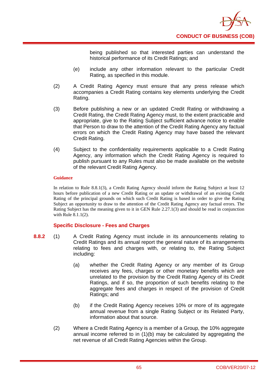

being published so that interested parties can understand the historical performance of its Credit Ratings; and

- (e) include any other information relevant to the particular Credit Rating, as specified in this module.
- (2) A Credit Rating Agency must ensure that any press release which accompanies a Credit Rating contains key elements underlying the Credit Rating.
- (3) Before publishing a new or an updated Credit Rating or withdrawing a Credit Rating, the Credit Rating Agency must, to the extent practicable and appropriate, give to the Rating Subject sufficient advance notice to enable that Person to draw to the attention of the Credit Rating Agency any factual errors on which the Credit Rating Agency may have based the relevant Credit Rating.
- (4) Subject to the confidentiality requirements applicable to a Credit Rating Agency, any information which the Credit Rating Agency is required to publish pursuant to any Rules must also be made available on the website of the relevant Credit Rating Agency.

### **Guidance**

In relation to Rule 8.8.1(3), a Credit Rating Agency should inform the Rating Subject at least 12 hours before publication of a new Credit Rating or an update or withdrawal of an existing Credit Rating of the principal grounds on which such Credit Rating is based in order to give the Rating Subject an opportunity to draw to the attention of the Credit Rating Agency any factual errors. The Rating Subject has the meaning given to it in GEN Rule 2.27.1(3) and should be read in conjunction with Rule 8.1.1(2).

### **Specific Disclosure - Fees and Charges**

- **8.8.2** (1) A Credit Rating Agency must include in its announcements relating to Credit Ratings and its annual report the general nature of its arrangements relating to fees and charges with, or relating to, the Rating Subject including:
	- (a) whether the Credit Rating Agency or any member of its Group receives any fees, charges or other monetary benefits which are unrelated to the provision by the Credit Rating Agency of its Credit Ratings, and if so, the proportion of such benefits relating to the aggregate fees and charges in respect of the provision of Credit Ratings; and
	- (b) if the Credit Rating Agency receives 10% or more of its aggregate annual revenue from a single Rating Subject or its Related Party, information about that source.
	- (2) Where a Credit Rating Agency is a member of a Group, the 10% aggregate annual income referred to in (1)(b) may be calculated by aggregating the net revenue of all Credit Rating Agencies within the Group.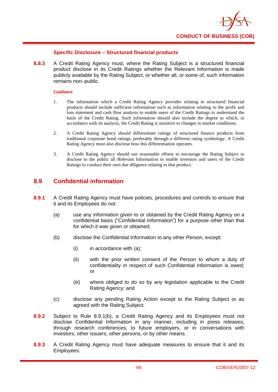

## **Specific Disclosure – Structured financial products**

**8.8.3** A Credit Rating Agency must, where the Rating Subject is a structured financial product disclose in its Credit Ratings whether the Relevant Information is made publicly available by the Rating Subject, or whether all, or some of, such information remains non–public.

#### **Guidance**

- 1. The information which a Credit Rating Agency provides relating to structured financial products should include sufficient information such as information relating to the profit and loss statement and cash flow analysis to enable users of the Credit Ratings to understand the basis of the Credit Rating. Such information should also include the degree to which, in accordance with its analysis, the Credit Rating is sensitive to changes in market conditions.
- 2. A Credit Rating Agency should differentiate ratings of structured finance products from traditional corporate bond ratings, preferably through a different rating symbology. A Credit Rating Agency must also disclose how this differentiation operates.
- 3. A Credit Rating Agency should use reasonable efforts to encourage the Rating Subject to disclose to the public all Relevant Information to enable investors and users of the Credit Ratings to conduct their own due diligence relating to that product.

# **8.9 Confidential information**

- **8.9.1** A Credit Rating Agency must have policies, procedures and controls to ensure that it and its Employees do not:
	- (a) use any information given to or obtained by the Credit Rating Agency on a confidential basis ("Confidential Information") for a purpose other than that for which it was given or obtained;
	- (b) disclose the Confidential Information to any other Person, except:
		- $(i)$  in accordance with  $(a)$ ;
		- (ii) with the prior written consent of the Person to whom a duty of confidentiality in respect of such Confidential Information is owed; or
		- (iii) where obliged to do so by any legislation applicable to the Credit Rating Agency; and
	- (c) disclose any pending Rating Action except to the Rating Subject or as agreed with the Rating Subject.
- **8.9.2** Subject to Rule 8.9.1(b), a Credit Rating Agency and its Employees must not disclose Confidential Information in any manner, including in press releases, through research conferences, to future employers, or in conversations with investors, other issuers, other persons, or by other means.
- **8.9.3** A Credit Rating Agency must have adequate measures to ensure that it and its Employees: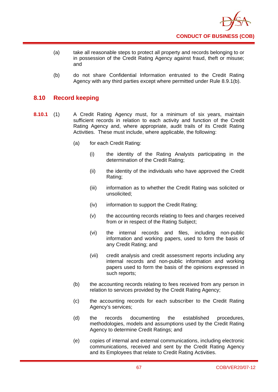

- (a) take all reasonable steps to protect all property and records belonging to or in possession of the Credit Rating Agency against fraud, theft or misuse; and
- (b) do not share Confidential Information entrusted to the Credit Rating Agency with any third parties except where permitted under Rule 8.9.1(b).

# **8.10 Record keeping**

- **8.10.1** (1) A Credit Rating Agency must, for a minimum of six years, maintain sufficient records in relation to each activity and function of the Credit Rating Agency and, where appropriate, audit trails of its Credit Rating Activities. These must include, where applicable, the following:
	- (a) for each Credit Rating:
		- (i) the identity of the Rating Analysts participating in the determination of the Credit Rating;
		- (ii) the identity of the individuals who have approved the Credit Rating;
		- (iii) information as to whether the Credit Rating was solicited or unsolicited;
		- (iv) information to support the Credit Rating;
		- (v) the accounting records relating to fees and charges received from or in respect of the Rating Subject:
		- (vi) the internal records and files, including non-public information and working papers, used to form the basis of any Credit Rating; and
		- (vii) credit analysis and credit assessment reports including any internal records and non-public information and working papers used to form the basis of the opinions expressed in such reports;
	- (b) the accounting records relating to fees received from any person in relation to services provided by the Credit Rating Agency;
	- (c) the accounting records for each subscriber to the Credit Rating Agency's services;
	- (d) the records documenting the established procedures, methodologies, models and assumptions used by the Credit Rating Agency to determine Credit Ratings; and
	- (e) copies of internal and external communications, including electronic communications, received and sent by the Credit Rating Agency and its Employees that relate to Credit Rating Activities.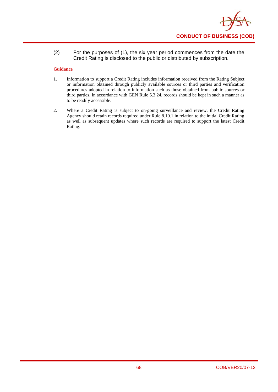

(2) For the purposes of (1), the six year period commences from the date the Credit Rating is disclosed to the public or distributed by subscription.

- 1. Information to support a Credit Rating includes information received from the Rating Subject or information obtained through publicly available sources or third parties and verification procedures adopted in relation to information such as those obtained from public sources or third parties. In accordance with GEN Rule 5.3.24, records should be kept in such a manner as to be readily accessible.
- 2. Where a Credit Rating is subject to on-going surveillance and review, the Credit Rating Agency should retain records required under Rule 8.10.1 in relation to the initial Credit Rating as well as subsequent updates where such records are required to support the latest Credit Rating.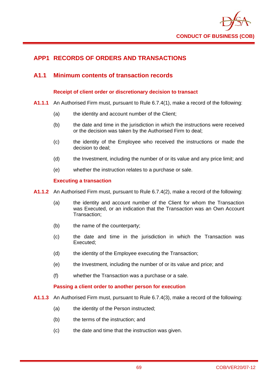

# **APP1 RECORDS OF ORDERS AND TRANSACTIONS**

# **A1.1 Minimum contents of transaction records**

### **Receipt of client order or discretionary decision to transact**

- **A1.1.1** An Authorised Firm must, pursuant to Rule 6.7.4(1), make a record of the following:
	- (a) the identity and account number of the Client;
	- (b) the date and time in the jurisdiction in which the instructions were received or the decision was taken by the Authorised Firm to deal;
	- (c) the identity of the Employee who received the instructions or made the decision to deal;
	- (d) the Investment, including the number of or its value and any price limit; and
	- (e) whether the instruction relates to a purchase or sale.

### **Executing a transaction**

- **A1.1.2** An Authorised Firm must, pursuant to Rule 6.7.4(2), make a record of the following:
	- (a) the identity and account number of the Client for whom the Transaction was Executed, or an indication that the Transaction was an Own Account Transaction;
	- (b) the name of the counterparty;
	- (c) the date and time in the jurisdiction in which the Transaction was Executed;
	- (d) the identity of the Employee executing the Transaction;
	- (e) the Investment, including the number of or its value and price; and
	- (f) whether the Transaction was a purchase or a sale.

### **Passing a client order to another person for execution**

- **A1.1.3** An Authorised Firm must, pursuant to Rule 6.7.4(3), make a record of the following:
	- (a) the identity of the Person instructed:
	- (b) the terms of the instruction; and
	- (c) the date and time that the instruction was given.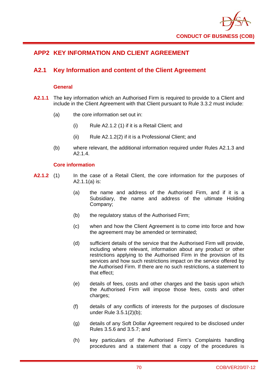

# **APP2 KEY INFORMATION AND CLIENT AGREEMENT**

# **A2.1 Key Information and content of the Client Agreement**

### **General**

- **A2.1.1** The key information which an Authorised Firm is required to provide to a Client and include in the Client Agreement with that Client pursuant to Rule 3.3.2 must include:
	- (a) the core information set out in:
		- (i) Rule A2.1.2 (1) if it is a Retail Client; and
		- (ii) Rule A2.1.2(2) if it is a Professional Client; and
	- (b) where relevant, the additional information required under Rules A2.1.3 and A<sub>2</sub> 1 4

### **Core information**

- **A2.1.2** (1) In the case of a Retail Client, the core information for the purposes of A2.1.1(a) is:
	- (a) the name and address of the Authorised Firm, and if it is a Subsidiary, the name and address of the ultimate Holding Company;
	- (b) the regulatory status of the Authorised Firm;
	- (c) when and how the Client Agreement is to come into force and how the agreement may be amended or terminated;
	- (d) sufficient details of the service that the Authorised Firm will provide, including where relevant, information about any product or other restrictions applying to the Authorised Firm in the provision of its services and how such restrictions impact on the service offered by the Authorised Firm. If there are no such restrictions, a statement to that effect;
	- (e) details of fees, costs and other charges and the basis upon which the Authorised Firm will impose those fees, costs and other charges:
	- (f) details of any conflicts of interests for the purposes of disclosure under Rule 3.5.1(2)(b);
	- (g) details of any Soft Dollar Agreement required to be disclosed under Rules 3.5.6 and 3.5.7; and
	- (h) key particulars of the Authorised Firm's Complaints handling procedures and a statement that a copy of the procedures is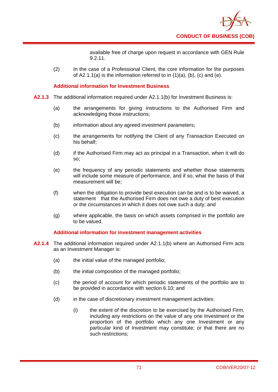

available free of charge upon request in accordance with GEN Rule 9.2.11.

(2) In the case of a Professional Client, the core information for the purposes of  $A2.1.1(a)$  is the information referred to in  $(1)(a)$ ,  $(b)$ ,  $(c)$  and  $(e)$ .

### **Additional information for Investment Business**

- **A2.1.3** The additional information required under A2.1.1(b) for Investment Business is:
	- (a) the arrangements for giving instructions to the Authorised Firm and acknowledging those instructions;
	- (b) information about any agreed investment parameters;
	- (c) the arrangements for notifying the Client of any Transaction Executed on his behalf;
	- (d) if the Authorised Firm may act as principal in a Transaction, when it will do so;
	- (e) the frequency of any periodic statements and whether those statements will include some measure of performance, and if so, what the basis of that measurement will be;
	- (f) when the obligation to provide best execution can be and is to be waived, a statement that the Authorised Firm does not owe a duty of best execution or the circumstances in which it does not owe such a duty; and
	- (g) where applicable, the basis on which assets comprised in the portfolio are to be valued.

### **Additional information for investment management activities**

- **A2.1.4** The additional information required under A2.1.1(b) where an Authorised Firm acts as an Investment Manager is:
	- (a) the initial value of the managed portfolio;
	- (b) the initial composition of the managed portfolio;
	- (c) the period of account for which periodic statements of the portfolio are to be provided in accordance with section 6.10; and
	- (d) in the case of discretionary investment management activities:
		- (i) the extent of the discretion to be exercised by the Authorised Firm, including any restrictions on the value of any one Investment or the proportion of the portfolio which any one Investment or any particular kind of Investment may constitute; or that there are no such restrictions;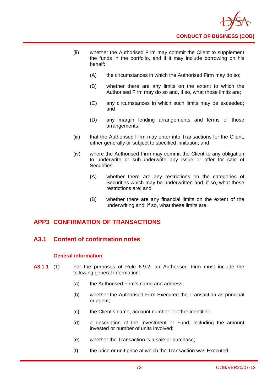

- (ii) whether the Authorised Firm may commit the Client to supplement the funds in the portfolio, and if it may include borrowing on his behalf:
	- (A) the circumstances in which the Authorised Firm may do so;
	- (B) whether there are any limits on the extent to which the Authorised Firm may do so and, if so, what those limits are;
	- (C) any circumstances in which such limits may be exceeded; and
	- (D) any margin lending arrangements and terms of those arrangements;
- (iii) that the Authorised Firm may enter into Transactions for the Client, either generally or subject to specified limitation; and
- (iv) where the Authorised Firm may commit the Client to any obligation to underwrite or sub-underwrite any issue or offer for sale of Securities:
	- (A) whether there are any restrictions on the categories of Securities which may be underwritten and, if so, what these restrictions are; and
	- (B) whether there are any financial limits on the extent of the underwriting and, if so, what these limits are.

# **APP3 CONFIRMATION OF TRANSACTIONS**

# **A3.1 Content of confirmation notes**

### **General information**

- **A3.1.1** (1) For the purposes of Rule 6.9.2, an Authorised Firm must include the following general information:
	- (a) the Authorised Firm's name and address;
	- (b) whether the Authorised Firm Executed the Transaction as principal or agent;
	- (c) the Client's name, account number or other identifier;
	- (d) a description of the Investment or Fund, including the amount invested or number of units involved;
	- (e) whether the Transaction is a sale or purchase;
	- (f) the price or unit price at which the Transaction was Executed;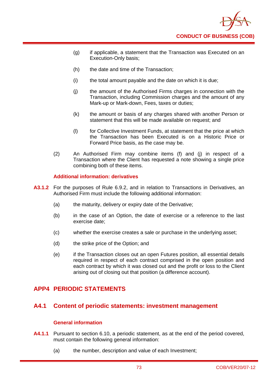

- (g) if applicable, a statement that the Transaction was Executed on an Execution-Only basis;
- (h) the date and time of the Transaction;
- (i) the total amount payable and the date on which it is due;
- (j) the amount of the Authorised Firms charges in connection with the Transaction, including Commission charges and the amount of any Mark-up or Mark-down, Fees, taxes or duties;
- (k) the amount or basis of any charges shared with another Person or statement that this will be made available on request; and
- (l) for Collective Investment Funds, at statement that the price at which the Transaction has been Executed is on a Historic Price or Forward Price basis, as the case may be.
- (2) An Authorised Firm may combine items (f) and (j) in respect of a Transaction where the Client has requested a note showing a single price combining both of these items.

### **Additional information: derivatives**

- **A3.1.2** For the purposes of Rule 6.9.2, and in relation to Transactions in Derivatives, an Authorised Firm must include the following additional information:
	- (a) the maturity, delivery or expiry date of the Derivative;
	- (b) in the case of an Option, the date of exercise or a reference to the last exercise date;
	- (c) whether the exercise creates a sale or purchase in the underlying asset;
	- (d) the strike price of the Option; and
	- (e) if the Transaction closes out an open Futures position, all essential details required in respect of each contract comprised in the open position and each contract by which it was closed out and the profit or loss to the Client arising out of closing out that position (a difference account).

# **APP4 PERIODIC STATEMENTS**

### **A4.1 Content of periodic statements: investment management**

### **General information**

- **A4.1.1** Pursuant to section 6.10, a periodic statement, as at the end of the period covered, must contain the following general information:
	- (a) the number, description and value of each Investment;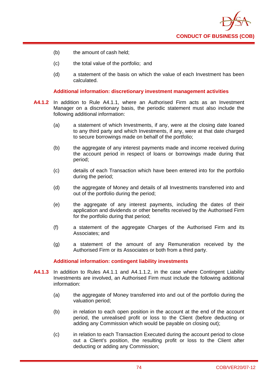

- (b) the amount of cash held;
- (c) the total value of the portfolio; and
- (d) a statement of the basis on which the value of each Investment has been calculated.

#### **Additional information: discretionary investment management activities**

- **A4.1.2** In addition to Rule A4.1.1, where an Authorised Firm acts as an Investment Manager on a discretionary basis, the periodic statement must also include the following additional information:
	- (a) a statement of which Investments, if any, were at the closing date loaned to any third party and which Investments, if any, were at that date charged to secure borrowings made on behalf of the portfolio;
	- (b) the aggregate of any interest payments made and income received during the account period in respect of loans or borrowings made during that period;
	- (c) details of each Transaction which have been entered into for the portfolio during the period;
	- (d) the aggregate of Money and details of all Investments transferred into and out of the portfolio during the period;
	- (e) the aggregate of any interest payments, including the dates of their application and dividends or other benefits received by the Authorised Firm for the portfolio during that period;
	- (f) a statement of the aggregate Charges of the Authorised Firm and its Associates; and
	- (g) a statement of the amount of any Remuneration received by the Authorised Firm or its Associates or both from a third party.

#### **Additional information: contingent liability investments**

- **A4.1.3** In addition to Rules A4.1.1 and A4.1.1.2, in the case where Contingent Liability Investments are involved, an Authorised Firm must include the following additional information:
	- (a) the aggregate of Money transferred into and out of the portfolio during the valuation period;
	- (b) in relation to each open position in the account at the end of the account period, the unrealised profit or loss to the Client (before deducting or adding any Commission which would be payable on closing out);
	- (c) in relation to each Transaction Executed during the account period to close out a Client's position, the resulting profit or loss to the Client after deducting or adding any Commission;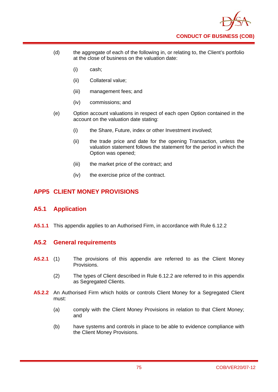

- (d) the aggregate of each of the following in, or relating to, the Client's portfolio at the close of business on the valuation date:
	- (i) cash;
	- (ii) Collateral value;
	- (iii) management fees; and
	- (iv) commissions; and
- (e) Option account valuations in respect of each open Option contained in the account on the valuation date stating:
	- (i) the Share, Future, index or other Investment involved:
	- (ii) the trade price and date for the opening Transaction, unless the valuation statement follows the statement for the period in which the Option was opened;
	- (iii) the market price of the contract; and
	- (iv) the exercise price of the contract.

# **APP5 CLIENT MONEY PROVISIONS**

# **A5.1 Application**

**A5.1.1** This appendix applies to an Authorised Firm, in accordance with Rule 6.12.2

# **A5.2 General requirements**

- **A5.2.1** (1) The provisions of this appendix are referred to as the Client Money Provisions.
	- (2) The types of Client described in Rule 6.12.2 are referred to in this appendix as Segregated Clients.
- **A5.2.2** An Authorised Firm which holds or controls Client Money for a Segregated Client must:
	- (a) comply with the Client Money Provisions in relation to that Client Money; and
	- (b) have systems and controls in place to be able to evidence compliance with the Client Money Provisions.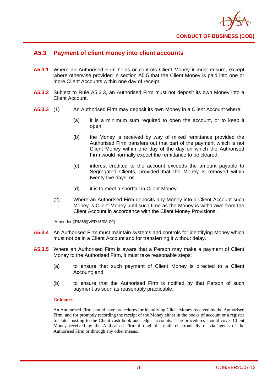

# **A5.3 Payment of client money into client accounts**

- **A5.3.1** Where an Authorised Firm holds or controls Client Money it must ensure, except where otherwise provided in section A5.5 that the Client Money is paid into one or more Client Accounts within one day of receipt.
- **A5.3.2** Subject to Rule A5.3.3, an Authorised Firm must not deposit its own Money into a Client Account.
- **A5.3.3** (1) An Authorised Firm may deposit its own Money in a Client Account where:
	- (a) it is a minimum sum required to open the account, or to keep it open;
	- (b) the Money is received by way of mixed remittance provided the Authorised Firm transfers out that part of the payment which is not Client Money within one day of the day on which the Authorised Firm would normally expect the remittance to be cleared;
	- (c) interest credited to the account exceeds the amount payable to Segregated Clients, provided that the Money is removed within twenty five days; or
	- (d) it is to meet a shortfall in Client Money.
	- (2) Where an Authorised Firm deposits any Money into a Client Account such Money is Client Money until such time as the Money is withdrawn from the Client Account in accordance with the Client Money Provisions.

[Amended][RM66][VER16/08-09]

- **A5.3.4** An Authorised Firm must maintain systems and controls for identifying Money which must not be in a Client Account and for transferring it without delay.
- **A5.3.5** Where an Authorised Firm is aware that a Person may make a payment of Client Money to the Authorised Firm, it must take reasonable steps:
	- (a) to ensure that such payment of Client Money is directed to a Client Account; and
	- (b) to ensure that the Authorised Firm is notified by that Person of such payment as soon as reasonably practicable.

### **Guidance**

An Authorised Firm should have procedures for identifying Client Money received by the Authorised Firm, and for promptly recording the receipt of the Money either in the books of account or a register for later posting to the Client cash book and ledger accounts. The procedures should cover Client Money received by the Authorised Firm through the mail, electronically or via agents of the Authorised Firm or through any other means.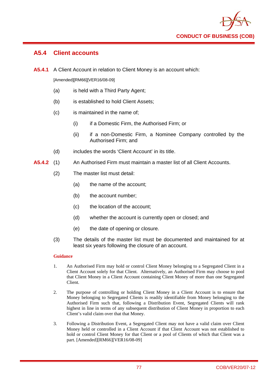

# **A5.4 Client accounts**

**A5.4.1** A Client Account in relation to Client Money is an account which:

[Amended][RM66][VER16/08-09]

- (a) is held with a Third Party Agent;
- (b) is established to hold Client Assets;
- (c) is maintained in the name of;
	- (i) if a Domestic Firm, the Authorised Firm; or
	- (ii) if a non-Domestic Firm, a Nominee Company controlled by the Authorised Firm; and
- (d) includes the words 'Client Account' in its title.
- **A5.4.2** (1) An Authorised Firm must maintain a master list of all Client Accounts.
	- (2) The master list must detail:
		- (a) the name of the account;
		- (b) the account number;
		- (c) the location of the account;
		- (d) whether the account is currently open or closed; and
		- (e) the date of opening or closure.
	- (3) The details of the master list must be documented and maintained for at least six years following the closure of an account.

### **Guidance**

- 1. An Authorised Firm may hold or control Client Money belonging to a Segregated Client in a Client Account solely for that Client. Alternatively, an Authorised Firm may choose to pool that Client Money in a Client Account containing Client Money of more than one Segregated Client.
- 2. The purpose of controlling or holding Client Money in a Client Account is to ensure that Money belonging to Segregated Clients is readily identifiable from Money belonging to the Authorised Firm such that, following a Distribution Event, Segregated Clients will rank highest in line in terms of any subsequent distribution of Client Money in proportion to each Client's valid claim over that that Money.
- 3. Following a Distribution Event, a Segregated Client may not have a valid claim over Client Money held or controlled in a Client Account if that Client Account was not established to hold or control Client Money for that Client or a pool of Clients of which that Client was a part. [Amended][RM66][VER16/08-09]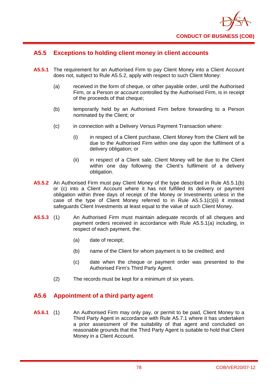

# **A5.5 Exceptions to holding client money in client accounts**

- **A5.5.1** The requirement for an Authorised Firm to pay Client Money into a Client Account does not, subject to Rule A5.5.2, apply with respect to such Client Money:
	- (a) received in the form of cheque, or other payable order, until the Authorised Firm, or a Person or account controlled by the Authorised Firm, is in receipt of the proceeds of that cheque;
	- (b) temporarily held by an Authorised Firm before forwarding to a Person nominated by the Client; or
	- (c) in connection with a Delivery Versus Payment Transaction where:
		- (i) in respect of a Client purchase, Client Money from the Client will be due to the Authorised Firm within one day upon the fulfilment of a delivery obligation; or
		- (ii) in respect of a Client sale, Client Money will be due to the Client within one day following the Client's fulfilment of a delivery obligation.
- **A5.5.2** An Authorised Firm must pay Client Money of the type described in Rule A5.5.1(b) or (c) into a Client Account where it has not fulfilled its delivery or payment obligation within three days of receipt of the Money or Investments unless in the case of the type of Client Money referred to in Rule A5.5.1(c)(ii) it instead safeguards Client Investments at least equal to the value of such Client Money.
- **A5.5.3** (1) An Authorised Firm must maintain adequate records of all cheques and payment orders received in accordance with Rule A5.5.1(a) including, in respect of each payment, the:
	- (a) date of receipt;
	- (b) name of the Client for whom payment is to be credited; and
	- (c) date when the cheque or payment order was presented to the Authorised Firm's Third Party Agent.
	- (2) The records must be kept for a minimum of six years.

# **A5.6 Appointment of a third party agent**

**A5.6.1** (1) An Authorised Firm may only pay, or permit to be paid, Client Money to a Third Party Agent in accordance with Rule A5.7.1 where it has undertaken a prior assessment of the suitability of that agent and concluded on reasonable grounds that the Third Party Agent is suitable to hold that Client Money in a Client Account.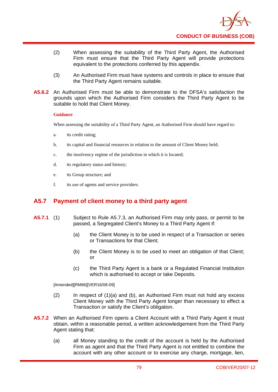

- (2) When assessing the suitability of the Third Party Agent, the Authorised Firm must ensure that the Third Party Agent will provide protections equivalent to the protections conferred by this appendix.
- (3) An Authorised Firm must have systems and controls in place to ensure that the Third Party Agent remains suitable.
- **A5.6.2** An Authorised Firm must be able to demonstrate to the DFSA's satisfaction the grounds upon which the Authorised Firm considers the Third Party Agent to be suitable to hold that Client Money.

#### **Guidance**

When assessing the suitability of a Third Party Agent, an Authorised Firm should have regard to:

- a. its credit rating;
- b. its capital and financial resources in relation to the amount of Client Money held;
- c. the insolvency regime of the jurisdiction in which it is located;
- d. its regulatory status and history;
- e. its Group structure; and
- f. its use of agents and service providers.

# **A5.7 Payment of client money to a third party agent**

- **A5.7.1** (1) Subject to Rule A5.7.3, an Authorised Firm may only pass, or permit to be passed, a Segregated Client's Money to a Third Party Agent if:
	- (a) the Client Money is to be used in respect of a Transaction or series or Transactions for that Client;
	- (b) the Client Money is to be used to meet an obligation of that Client; or
	- (c) the Third Party Agent is a bank or a Regulated Financial Institution which is authorised to accept or take Deposits.

[Amended][RM66][VER16/08-09]

- (2) In respect of (1)(a) and (b), an Authorised Firm must not hold any excess Client Money with the Third Party Agent longer than necessary to effect a Transaction or satisfy the Client's obligation.
- **A5.7.2** When an Authorised Firm opens a Client Account with a Third Party Agent it must obtain, within a reasonable period, a written acknowledgement from the Third Party Agent stating that:
	- (a) all Money standing to the credit of the account is held by the Authorised Firm as agent and that the Third Party Agent is not entitled to combine the account with any other account or to exercise any charge, mortgage, lien,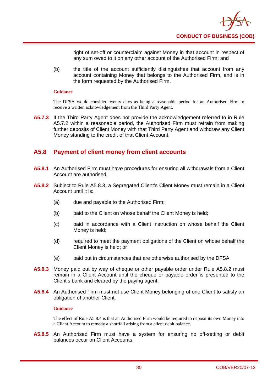

right of set-off or counterclaim against Money in that account in respect of any sum owed to it on any other account of the Authorised Firm; and

(b) the title of the account sufficiently distinguishes that account from any account containing Money that belongs to the Authorised Firm, and is in the form requested by the Authorised Firm.

#### **Guidance**

The DFSA would consider twenty days as being a reasonable period for an Authorised Firm to receive a written acknowledgement from the Third Party Agent.

**A5.7.3** If the Third Party Agent does not provide the acknowledgement referred to in Rule A5.7.2 within a reasonable period, the Authorised Firm must refrain from making further deposits of Client Money with that Third Party Agent and withdraw any Client Money standing to the credit of that Client Account.

# **A5.8 Payment of client money from client accounts**

- **A5.8.1** An Authorised Firm must have procedures for ensuring all withdrawals from a Client Account are authorised.
- **A5.8.2** Subject to Rule A5.8.3, a Segregated Client's Client Money must remain in a Client Account until it is:
	- (a) due and payable to the Authorised Firm;
	- (b) paid to the Client on whose behalf the Client Money is held;
	- (c) paid in accordance with a Client instruction on whose behalf the Client Money is held;
	- (d) required to meet the payment obligations of the Client on whose behalf the Client Money is held; or
	- (e) paid out in circumstances that are otherwise authorised by the DFSA.
- **A5.8.3** Money paid out by way of cheque or other payable order under Rule A5.8.2 must remain in a Client Account until the cheque or payable order is presented to the Client's bank and cleared by the paying agent.
- **A5.8.4** An Authorised Firm must not use Client Money belonging of one Client to satisfy an obligation of another Client.

### **Guidance**

The effect of Rule A5.8.4 is that an Authorised Firm would be required to deposit its own Money into a Client Account to remedy a shortfall arising from a client debit balance.

**A5.8.5** An Authorised Firm must have a system for ensuring no off-setting or debit balances occur on Client Accounts.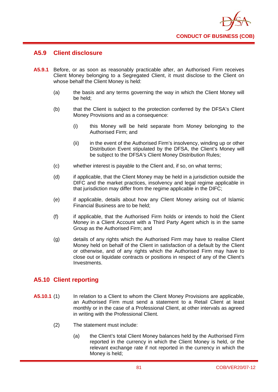

### **A5.9 Client disclosure**

- **A5.9.1** Before, or as soon as reasonably practicable after, an Authorised Firm receives Client Money belonging to a Segregated Client, it must disclose to the Client on whose behalf the Client Money is held:
	- (a) the basis and any terms governing the way in which the Client Money will be held;
	- (b) that the Client is subject to the protection conferred by the DFSA's Client Money Provisions and as a consequence:
		- (i) this Money will be held separate from Money belonging to the Authorised Firm; and
		- (ii) in the event of the Authorised Firm's insolvency, winding up or other Distribution Event stipulated by the DFSA, the Client's Money will be subject to the DFSA's Client Money Distribution Rules;
	- (c) whether interest is payable to the Client and, if so, on what terms;
	- (d) if applicable, that the Client Money may be held in a jurisdiction outside the DIFC and the market practices, insolvency and legal regime applicable in that jurisdiction may differ from the regime applicable in the DIFC;
	- (e) if applicable, details about how any Client Money arising out of Islamic Financial Business are to be held;
	- (f) if applicable, that the Authorised Firm holds or intends to hold the Client Money in a Client Account with a Third Party Agent which is in the same Group as the Authorised Firm; and
	- (g) details of any rights which the Authorised Firm may have to realise Client Money held on behalf of the Client in satisfaction of a default by the Client or otherwise, and of any rights which the Authorised Firm may have to close out or liquidate contracts or positions in respect of any of the Client's Investments.

# **A5.10 Client reporting**

- **A5.10.1** (1) In relation to a Client to whom the Client Money Provisions are applicable, an Authorised Firm must send a statement to a Retail Client at least monthly or in the case of a Professional Client, at other intervals as agreed in writing with the Professional Client.
	- (2) The statement must include:
		- (a) the Client's total Client Money balances held by the Authorised Firm reported in the currency in which the Client Money is held, or the relevant exchange rate if not reported in the currency in which the Money is held;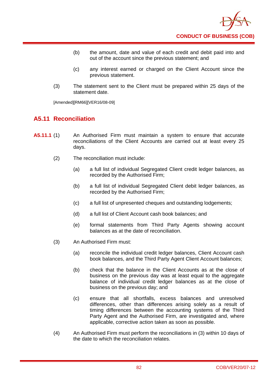

- (b) the amount, date and value of each credit and debit paid into and out of the account since the previous statement; and
- (c) any interest earned or charged on the Client Account since the previous statement.
- (3) The statement sent to the Client must be prepared within 25 days of the statement date.

[Amended][RM66][VER16/08-09]

# **A5.11 Reconciliation**

- **A5.11.1** (1) An Authorised Firm must maintain a system to ensure that accurate reconciliations of the Client Accounts are carried out at least every 25 days.
	- (2) The reconciliation must include:
		- (a) a full list of individual Segregated Client credit ledger balances, as recorded by the Authorised Firm;
		- (b) a full list of individual Segregated Client debit ledger balances, as recorded by the Authorised Firm;
		- (c) a full list of unpresented cheques and outstanding lodgements;
		- (d) a full list of Client Account cash book balances; and
		- (e) formal statements from Third Party Agents showing account balances as at the date of reconciliation.
	- (3) An Authorised Firm must:
		- (a) reconcile the individual credit ledger balances, Client Account cash book balances, and the Third Party Agent Client Account balances;
		- (b) check that the balance in the Client Accounts as at the close of business on the previous day was at least equal to the aggregate balance of individual credit ledger balances as at the close of business on the previous day; and
		- (c) ensure that all shortfalls, excess balances and unresolved differences, other than differences arising solely as a result of timing differences between the accounting systems of the Third Party Agent and the Authorised Firm, are investigated and, where applicable, corrective action taken as soon as possible.
	- (4) An Authorised Firm must perform the reconciliations in (3) within 10 days of the date to which the reconciliation relates.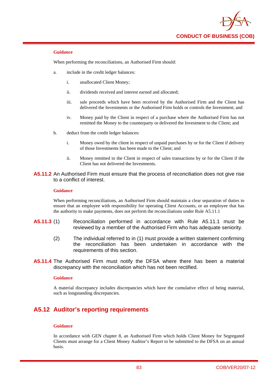

#### **Guidance**

When performing the reconciliations, an Authorised Firm should:

- a. include in the credit ledger balances:
	- i. unallocated Client Money;
	- ii. dividends received and interest earned and allocated;
	- iii. sale proceeds which have been received by the Authorised Firm and the Client has delivered the Investments or the Authorised Firm holds or controls the Investment; and
	- iv. Money paid by the Client in respect of a purchase where the Authorised Firm has not remitted the Money to the counterparty or delivered the Investment to the Client; and
- b. deduct from the credit ledger balances:
	- i. Money owed by the client in respect of unpaid purchases by or for the Client if delivery of those Investments has been made to the Client; and
	- ii. Money remitted to the Client in respect of sales transactions by or for the Client if the Client has not delivered the Investments.
- **A5.11.2** An Authorised Firm must ensure that the process of reconciliation does not give rise to a conflict of interest.

#### **Guidance**

When performing reconciliations, an Authorised Firm should maintain a clear separation of duties to ensure that an employee with responsibility for operating Client Accounts, or an employee that has the authority to make payments, does not perform the reconciliations under Rule A5.11.1

- **A5.11.3** (1) Reconciliation performed in accordance with Rule A5.11.1 must be reviewed by a member of the Authorised Firm who has adequate seniority.
	- (2) The individual referred to in (1) must provide a written statement confirming the reconciliation has been undertaken in accordance with the requirements of this section.
- **A5.11.4** The Authorised Firm must notify the DFSA where there has been a material discrepancy with the reconciliation which has not been rectified.

#### **Guidance**

A material discrepancy includes discrepancies which have the cumulative effect of being material, such as longstanding discrepancies.

# **A5.12 Auditor's reporting requirements**

#### **Guidance**

In accordance with GEN chapter 8, an Authorised Firm which holds Client Money for Segregated Clients must arrange for a Client Money Auditor's Report to be submitted to the DFSA on an annual basis.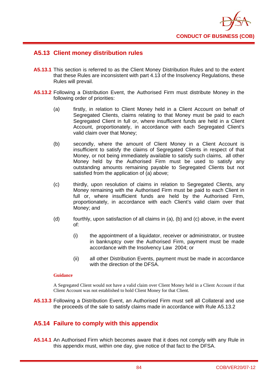

# **A5.13 Client money distribution rules**

- **A5.13.1** This section is referred to as the Client Money Distribution Rules and to the extent that these Rules are inconsistent with part 4.13 of the Insolvency Regulations, these Rules will prevail.
- **A5.13.2** Following a Distribution Event, the Authorised Firm must distribute Money in the following order of priorities:
	- (a) firstly, in relation to Client Money held in a Client Account on behalf of Segregated Clients, claims relating to that Money must be paid to each Segregated Client in full or, where insufficient funds are held in a Client Account, proportionately, in accordance with each Segregated Client's valid claim over that Money;
	- (b) secondly, where the amount of Client Money in a Client Account is insufficient to satisfy the claims of Segregated Clients in respect of that Money, or not being immediately available to satisfy such claims, all other Money held by the Authorised Firm must be used to satisfy any outstanding amounts remaining payable to Segregated Clients but not satisfied from the application of (a) above;
	- (c) thirdly, upon resolution of claims in relation to Segregated Clients, any Money remaining with the Authorised Firm must be paid to each Client in full or, where insufficient funds are held by the Authorised Firm, proportionately, in accordance with each Client's valid claim over that Money; and
	- (d) fourthly, upon satisfaction of all claims in (a), (b) and (c) above, in the event of:
		- (i) the appointment of a liquidator, receiver or administrator, or trustee in bankruptcy over the Authorised Firm, payment must be made accordance with the Insolvency Law 2004; or
		- (ii) all other Distribution Events, payment must be made in accordance with the direction of the DFSA.

### **Guidance**

A Segregated Client would not have a valid claim over Client Money held in a Client Account if that Client Account was not established to hold Client Money for that Client.

**A5.13.3** Following a Distribution Event, an Authorised Firm must sell all Collateral and use the proceeds of the sale to satisfy claims made in accordance with Rule A5.13.2

# **A5.14 Failure to comply with this appendix**

**A5.14.1** An Authorised Firm which becomes aware that it does not comply with any Rule in this appendix must, within one day, give notice of that fact to the DFSA.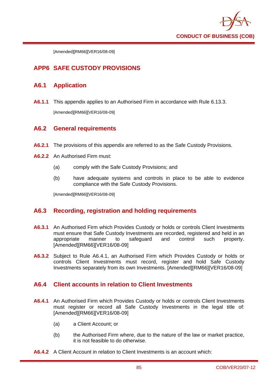

[Amended][RM66][VER16/08-09]

# **APP6 SAFE CUSTODY PROVISIONS**

### **A6.1 Application**

**A6.1.1** This appendix applies to an Authorised Firm in accordance with Rule 6.13.3. [Amended][RM66][VER16/08-09]

### **A6.2 General requirements**

- **A6.2.1** The provisions of this appendix are referred to as the Safe Custody Provisions.
- **A6.2.2** An Authorised Firm must:
	- (a) comply with the Safe Custody Provisions; and
	- (b) have adequate systems and controls in place to be able to evidence compliance with the Safe Custody Provisions.

[Amended][RM66][VER16/08-09]

### **A6.3 Recording, registration and holding requirements**

- **A6.3.1** An Authorised Firm which Provides Custody or holds or controls Client Investments must ensure that Safe Custody Investments are recorded, registered and held in an appropriate manner to safeguard and control such property. [Amended][RM66][VER16/08-09]
- **A6.3.2** Subject to Rule A6.4.1, an Authorised Firm which Provides Custody or holds or controls Client Investments must record, register and hold Safe Custody Investments separately from its own Investments. [Amended][RM66][VER16/08-09]

# **A6.4 Client accounts in relation to Client Investments**

- **A6.4.1** An Authorised Firm which Provides Custody or holds or controls Client Investments must register or record all Safe Custody Investments in the legal title of: [Amended][RM66][VER16/08-09]
	- (a) a Client Account; or
	- (b) the Authorised Firm where, due to the nature of the law or market practice, it is not feasible to do otherwise.
- **A6.4.2** A Client Account in relation to Client Investments is an account which: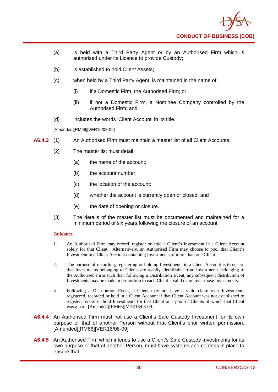

- (a) is held with a Third Party Agent or by an Authorised Firm which is authorised under its Licence to provide Custody;
- (b) is established to hold Client Assets;
- (c) when held by a Third Party Agent, is maintained in the name of;
	- (i) if a Domestic Firm, the Authorised Firm; or
	- (ii) if not a Domestic Firm, a Nominee Company controlled by the Authorised Firm; and
- (d) includes the words 'Client Account' in its title.

[Amended][RM66][VER16/08-09]

- **A6.4.3** (1) An Authorised Firm must maintain a master list of all Client Accounts.
	- (2) The master list must detail:
		- (a) the name of the account;
		- (b) the account number:
		- (c) the location of the account;
		- (d) whether the account is currently open or closed; and
		- (e) the date of opening or closure.
	- (3) The details of the master list must be documented and maintained for a minimum period of six years following the closure of an account.

### **Guidance**

- 1. An Authorised Firm may record, register or hold a Client's Investment in a Client Account solely for that Client. Alternatively, an Authorised Firm may choose to pool that Client's Investment in a Client Account containing Investments of more than one Client.
- 2. The purpose of recording, registering or holding Investments in a Client Account is to ensure that Investments belonging to Clients are readily identifiable from Investments belonging to the Authorised Firm such that, following a Distribution Event, any subsequent distribution of Investments may be made in proportion to each Client's valid claim over those Investments.
- 3. Following a Distribution Event, a Client may not have a valid claim over Investments registered, recorded or held in a Client Account if that Client Account was not established to register, record or hold Investments for that Client or a pool of Clients of which that Client was a part. [Amended][RM66][VER16/08-09]
- **A6.4.4** An Authorised Firm must not use a Client's Safe Custody Investment for its own purpose or that of another Person without that Client's prior written permission. [Amended][RM66][VER16/08-09]
- **A6.4.5** An Authorised Firm which intends to use a Client's Safe Custody Investments for its own purpose or that of another Person, must have systems and controls in place to ensure that: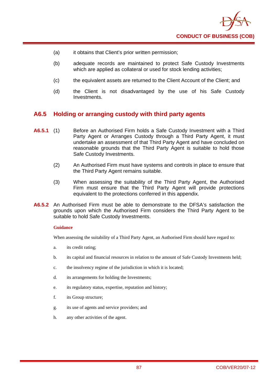

- (a) it obtains that Client's prior written permission;
- (b) adequate records are maintained to protect Safe Custody Investments which are applied as collateral or used for stock lending activities;
- (c) the equivalent assets are returned to the Client Account of the Client; and
- (d) the Client is not disadvantaged by the use of his Safe Custody Investments.

### **A6.5 Holding or arranging custody with third party agents**

- **A6.5.1** (1) Before an Authorised Firm holds a Safe Custody Investment with a Third Party Agent or Arranges Custody through a Third Party Agent, it must undertake an assessment of that Third Party Agent and have concluded on reasonable grounds that the Third Party Agent is suitable to hold those Safe Custody Investments.
	- (2) An Authorised Firm must have systems and controls in place to ensure that the Third Party Agent remains suitable.
	- (3) When assessing the suitability of the Third Party Agent, the Authorised Firm must ensure that the Third Party Agent will provide protections equivalent to the protections conferred in this appendix.
- **A6.5.2** An Authorised Firm must be able to demonstrate to the DFSA's satisfaction the grounds upon which the Authorised Firm considers the Third Party Agent to be suitable to hold Safe Custody Investments.

#### **Guidance**

When assessing the suitability of a Third Party Agent, an Authorised Firm should have regard to:

- a. its credit rating;
- b. its capital and financial resources in relation to the amount of Safe Custody Investments held;
- c. the insolvency regime of the jurisdiction in which it is located;
- d. its arrangements for holding the Investments;
- e. its regulatory status, expertise, reputation and history;
- f. its Group structure;
- g. its use of agents and service providers; and
- h. any other activities of the agent.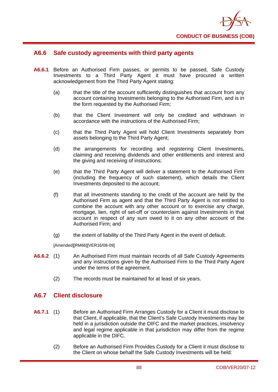

### **A6.6 Safe custody agreements with third party agents**

- **A6.6.1** Before an Authorised Firm passes, or permits to be passed, Safe Custody Investments to a Third Party Agent it must have procured a written acknowledgement from the Third Party Agent stating:
	- (a) that the title of the account sufficiently distinguishes that account from any account containing Investments belonging to the Authorised Firm, and is in the form requested by the Authorised Firm;
	- (b) that the Client Investment will only be credited and withdrawn in accordance with the instructions of the Authorised Firm;
	- (c) that the Third Party Agent will hold Client Investments separately from assets belonging to the Third Party Agent;
	- (d) the arrangements for recording and registering Client Investments, claiming and receiving dividends and other entitlements and interest and the giving and receiving of instructions;
	- (e) that the Third Party Agent will deliver a statement to the Authorised Firm (including the frequency of such statement), which details the Client Investments deposited to the account;
	- (f) that all Investments standing to the credit of the account are held by the Authorised Firm as agent and that the Third Party Agent is not entitled to combine the account with any other account or to exercise any charge, mortgage, lien, right of set-off or counterclaim against Investments in that account in respect of any sum owed to it on any other account of the Authorised Firm; and
	- (g) the extent of liability of the Third Party Agent in the event of default.

[Amended][RM66][VER16/08-09]

- **A6.6.2** (1) An Authorised Firm must maintain records of all Safe Custody Agreements and any instructions given by the Authorised Firm to the Third Party Agent under the terms of the agreement.
	- (2) The records must be maintained for at least of six years.

### **A6.7 Client disclosure**

- **A6.7.1** (1) Before an Authorised Firm Arranges Custody for a Client it must disclose to that Client, if applicable, that the Client's Safe Custody Investments may be held in a jurisdiction outside the DIFC and the market practices, insolvency and legal regime applicable in that jurisdiction may differ from the regime applicable in the DIFC.
	- (2) Before an Authorised Firm Provides Custody for a Client it must disclose to the Client on whose behalf the Safe Custody Investments will be held: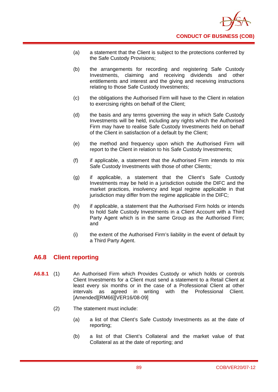- (a) a statement that the Client is subject to the protections conferred by the Safe Custody Provisions;
- (b) the arrangements for recording and registering Safe Custody Investments, claiming and receiving dividends and other entitlements and interest and the giving and receiving instructions relating to those Safe Custody Investments;
- (c) the obligations the Authorised Firm will have to the Client in relation to exercising rights on behalf of the Client;
- (d) the basis and any terms governing the way in which Safe Custody Investments will be held, including any rights which the Authorised Firm may have to realise Safe Custody Investments held on behalf of the Client in satisfaction of a default by the Client;
- (e) the method and frequency upon which the Authorised Firm will report to the Client in relation to his Safe Custody Investments;
- (f) if applicable, a statement that the Authorised Firm intends to mix Safe Custody Investments with those of other Clients;
- (g) if applicable, a statement that the Client's Safe Custody Investments may be held in a jurisdiction outside the DIFC and the market practices, insolvency and legal regime applicable in that jurisdiction may differ from the regime applicable in the DIFC;
- (h) if applicable, a statement that the Authorised Firm holds or intends to hold Safe Custody Investments in a Client Account with a Third Party Agent which is in the same Group as the Authorised Firm; and
- (i) the extent of the Authorised Firm's liability in the event of default by a Third Party Agent.

# **A6.8 Client reporting**

- **A6.8.1** (1) An Authorised Firm which Provides Custody or which holds or controls Client Investments for a Client must send a statement to a Retail Client at least every six months or in the case of a Professional Client at other intervals as agreed in writing with the Professional Client. [Amended][RM66][VER16/08-09]
	- (2) The statement must include:
		- (a) a list of that Client's Safe Custody Investments as at the date of reporting;
		- (b) a list of that Client's Collateral and the market value of that Collateral as at the date of reporting; and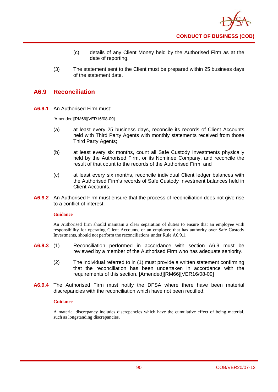

- (c) details of any Client Money held by the Authorised Firm as at the date of reporting.
- (3) The statement sent to the Client must be prepared within 25 business days of the statement date.

### **A6.9 Reconciliation**

**A6.9.1** An Authorised Firm must:

[Amended][RM66][VER16/08-09]

- (a) at least every 25 business days, reconcile its records of Client Accounts held with Third Party Agents with monthly statements received from those Third Party Agents;
- (b) at least every six months, count all Safe Custody Investments physically held by the Authorised Firm, or its Nominee Company, and reconcile the result of that count to the records of the Authorised Firm; and
- (c) at least every six months, reconcile individual Client ledger balances with the Authorised Firm's records of Safe Custody Investment balances held in Client Accounts.
- **A6.9.2** An Authorised Firm must ensure that the process of reconciliation does not give rise to a conflict of interest.

#### **Guidance**

An Authorised firm should maintain a clear separation of duties to ensure that an employee with responsibility for operating Client Accounts, or an employee that has authority over Safe Custody Investments, should not perform the reconciliations under Rule A6.9.1.

- **A6.9.3** (1) Reconciliation performed in accordance with section A6.9 must be reviewed by a member of the Authorised Firm who has adequate seniority.
	- (2) The individual referred to in (1) must provide a written statement confirming that the reconciliation has been undertaken in accordance with the requirements of this section. [Amended][RM66][VER16/08-09]
- **A6.9.4** The Authorised Firm must notify the DFSA where there have been material discrepancies with the reconciliation which have not been rectified.

#### **Guidance**

A material discrepancy includes discrepancies which have the cumulative effect of being material, such as longstanding discrepancies.